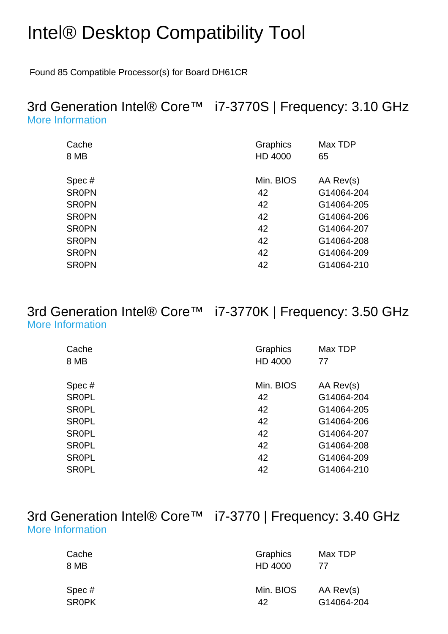# Intel® Desktop Compatibility Tool

Found 85 Compatible Processor(s) for Board DH61CR

#### 3rd Generation Intel® Core™ i7-3770S | Frequency: 3.10 GHz [More Information](http://ark.intel.com/Product.aspx?spec=SR0PN)

| Graphics<br>HD 4000 | Max TDP<br>65 |
|---------------------|---------------|
| Min. BIOS           | AA Rev(s)     |
| 42                  | G14064-204    |
| 42                  | G14064-205    |
| 42                  | G14064-206    |
| 42                  | G14064-207    |
| 42                  | G14064-208    |
| 42                  | G14064-209    |
| 42                  | G14064-210    |
|                     |               |

#### 3rd Generation Intel® Core™ i7-3770K | Frequency: 3.50 GHz [More Information](http://ark.intel.com/Product.aspx?spec=SR0PL)

| Cache        | Graphics  | Max TDP    |
|--------------|-----------|------------|
| 8 MB         | HD 4000   | 77         |
| Spec#        | Min. BIOS | AA Rev(s)  |
| <b>SROPL</b> | 42        | G14064-204 |
| <b>SROPL</b> | 42        | G14064-205 |
| <b>SROPL</b> | 42        | G14064-206 |
| <b>SROPL</b> | 42        | G14064-207 |
| <b>SROPL</b> | 42        | G14064-208 |
| <b>SROPL</b> | 42        | G14064-209 |
| <b>SR0PL</b> | 42        | G14064-210 |

#### 3rd Generation Intel® Core™ i7-3770 | Frequency: 3.40 GHz [More Information](http://ark.intel.com/Product.aspx?spec=SR0PK)

| Cache        | Graphics  | Max TDP    |
|--------------|-----------|------------|
| 8 MB         | HD 4000   | 77         |
| Spec #       | Min. BIOS | AA Rev(s)  |
| <b>SROPK</b> | 42        | G14064-204 |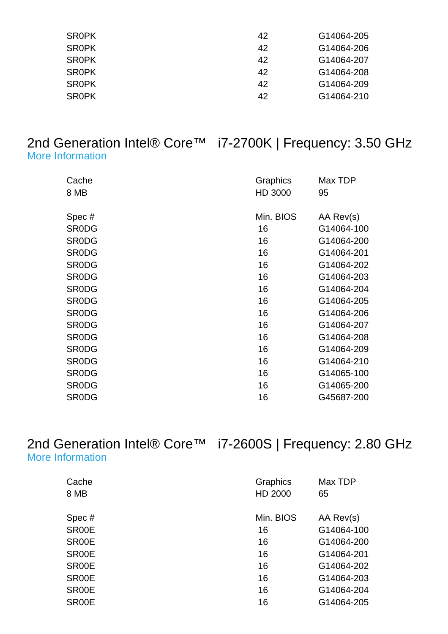| 42 | G14064-205 |
|----|------------|
| 42 | G14064-206 |
| 42 | G14064-207 |
| 42 | G14064-208 |
| 42 | G14064-209 |
| 42 | G14064-210 |
|    |            |

#### 2nd Generation Intel® Core™ i7-2700K | Frequency: 3.50 GHz [More Information](http://ark.intel.com/Product.aspx?spec=SR0DG)

| Cache<br>8 MB | Graphics<br>HD 3000 | Max TDP<br>95 |
|---------------|---------------------|---------------|
| Spec#         | Min. BIOS           | AA Rev(s)     |
| <b>SRODG</b>  | 16                  | G14064-100    |
| <b>SRODG</b>  | 16                  | G14064-200    |
| <b>SRODG</b>  | 16                  | G14064-201    |
| <b>SRODG</b>  | 16                  | G14064-202    |
| <b>SRODG</b>  | 16                  | G14064-203    |
| <b>SRODG</b>  | 16                  | G14064-204    |
| <b>SRODG</b>  | 16                  | G14064-205    |
| <b>SRODG</b>  | 16                  | G14064-206    |
| <b>SRODG</b>  | 16                  | G14064-207    |
| <b>SRODG</b>  | 16                  | G14064-208    |
| <b>SRODG</b>  | 16                  | G14064-209    |
| <b>SRODG</b>  | 16                  | G14064-210    |
| <b>SRODG</b>  | 16                  | G14065-100    |
| <b>SRODG</b>  | 16                  | G14065-200    |
| <b>SRODG</b>  | 16                  | G45687-200    |

2nd Generation Intel® Core™ i7-2600S | Frequency: 2.80 GHz [More Information](http://ark.intel.com/Product.aspx?spec=SR00E)

| Cache | Graphics  | Max TDP    |
|-------|-----------|------------|
| 8 MB  | HD 2000   | 65         |
| Spec# | Min. BIOS | AA Rev(s)  |
| SR00E | 16        | G14064-100 |
| SR00E | 16        | G14064-200 |
| SR00E | 16        | G14064-201 |
| SR00E | 16        | G14064-202 |
| SR00E | 16        | G14064-203 |
| SR00E | 16        | G14064-204 |
| SR00E | 16        | G14064-205 |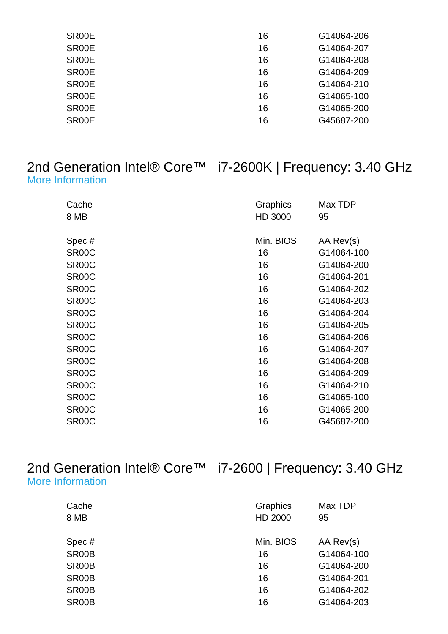| SR00E              | 16 | G14064-206 |
|--------------------|----|------------|
| SR00E              | 16 | G14064-207 |
| SR00E              | 16 | G14064-208 |
| SR00E              | 16 | G14064-209 |
| SR00E              | 16 | G14064-210 |
| SR <sub>00</sub> E | 16 | G14065-100 |
| SR00E              | 16 | G14065-200 |
| SR00E              | 16 | G45687-200 |
|                    |    |            |

#### 2nd Generation Intel® Core™ i7-2600K | Frequency: 3.40 GHz [More Information](http://ark.intel.com/Product.aspx?spec=SR00C)

| Cache<br>8 MB      | Graphics<br>HD 3000 | Max TDP<br>95 |
|--------------------|---------------------|---------------|
| Spec#              | Min. BIOS           | AA Rev(s)     |
| SR <sub>00</sub> C | 16                  | G14064-100    |
| SR <sub>00</sub> C | 16                  | G14064-200    |
| SR <sub>00</sub> C | 16                  | G14064-201    |
| SR <sub>00</sub> C | 16                  | G14064-202    |
| SR <sub>00</sub> C | 16                  | G14064-203    |
| SR <sub>00</sub> C | 16                  | G14064-204    |
| SR <sub>00</sub> C | 16                  | G14064-205    |
| SR <sub>00</sub> C | 16                  | G14064-206    |
| SR <sub>00</sub> C | 16                  | G14064-207    |
| SR <sub>00</sub> C | 16                  | G14064-208    |
| SR <sub>00</sub> C | 16                  | G14064-209    |
| SR <sub>00</sub> C | 16                  | G14064-210    |
| SR <sub>00</sub> C | 16                  | G14065-100    |
| SR <sub>00</sub> C | 16                  | G14065-200    |
| SR00C              | 16                  | G45687-200    |

2nd Generation Intel® Core™ i7-2600 | Frequency: 3.40 GHz [More Information](http://ark.intel.com/Product.aspx?spec=SR00B)

| Cache | Graphics  | Max TDP    |
|-------|-----------|------------|
| 8 MB  | HD 2000   | 95         |
| Spec# | Min. BIOS | AA Rev(s)  |
| SR00B | 16        | G14064-100 |
| SR00B | 16        | G14064-200 |
| SR00B | 16        | G14064-201 |
| SR00B | 16        | G14064-202 |
| SR00B | 16        | G14064-203 |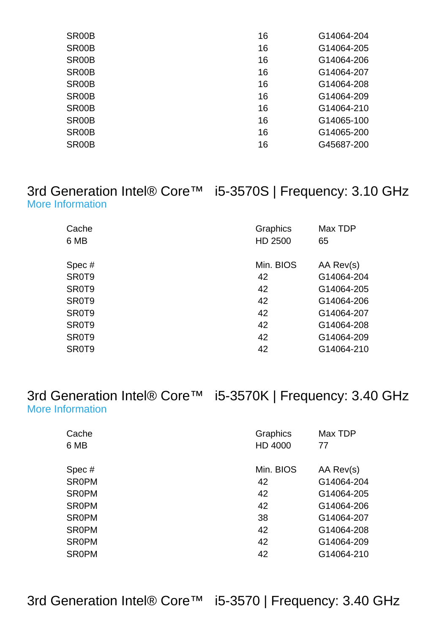| SR <sub>00</sub> B | 16 | G14064-204 |
|--------------------|----|------------|
| SR00B              | 16 | G14064-205 |
| SR00B              | 16 | G14064-206 |
| SR00B              | 16 | G14064-207 |
| SR00B              | 16 | G14064-208 |
| SR00B              | 16 | G14064-209 |
| SR <sub>00</sub> B | 16 | G14064-210 |
| SR <sub>00</sub> B | 16 | G14065-100 |
| SR00B              | 16 | G14065-200 |
| SR00B              | 16 | G45687-200 |
|                    |    |            |

#### 3rd Generation Intel® Core™ i5-3570S | Frequency: 3.10 GHz [More Information](http://ark.intel.com/Product.aspx?spec=SR0T9)

| Cache<br>6 MB | Graphics<br>HD 2500 | Max TDP<br>65 |
|---------------|---------------------|---------------|
| Spec#         | Min. BIOS           | AA Rev(s)     |
| SR0T9         | 42                  | G14064-204    |
| SR0T9         | 42                  | G14064-205    |
| SR0T9         | 42                  | G14064-206    |
| SR0T9         | 42                  | G14064-207    |
| SR0T9         | 42                  | G14064-208    |
| SR0T9         | 42                  | G14064-209    |
| SR0T9         | 42                  | G14064-210    |

3rd Generation Intel® Core™ i5-3570K | Frequency: 3.40 GHz [More Information](http://ark.intel.com/Product.aspx?spec=SR0PM)

| Cache<br>6 MB | Graphics<br>HD 4000 | Max TDP<br>77 |
|---------------|---------------------|---------------|
| Spec#         | Min. BIOS           | AA Rev(s)     |
| <b>SROPM</b>  | 42                  | G14064-204    |
| <b>SR0PM</b>  | 42                  | G14064-205    |
| <b>SR0PM</b>  | 42                  | G14064-206    |
| <b>SROPM</b>  | 38                  | G14064-207    |
| <b>SROPM</b>  | 42                  | G14064-208    |
| <b>SR0PM</b>  | 42                  | G14064-209    |
| <b>SR0PM</b>  | 42                  | G14064-210    |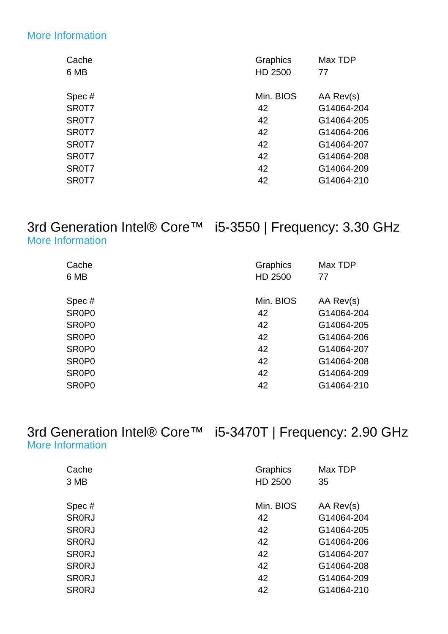#### [More Information](http://ark.intel.com/Product.aspx?spec=SR0T7)

| Cache | Graphics  | Max TDP    |
|-------|-----------|------------|
| 6 MB  | HD 2500   | 77         |
| Spec# | Min. BIOS | AA Rev(s)  |
| SR0T7 | 42        | G14064-204 |
| SR0T7 | 42        | G14064-205 |
| SR0T7 | 42        | G14064-206 |
| SR0T7 | 42        | G14064-207 |
| SR0T7 | 42        | G14064-208 |
| SR0T7 | 42        | G14064-209 |
| SR0T7 | 42        | G14064-210 |

#### 3rd Generation Intel® Core™ i5-3550 | Frequency: 3.30 GHz [More Information](http://ark.intel.com/Product.aspx?spec=SR0P0)

| Cache<br>6 MB                  | Graphics<br>HD 2500 | Max TDP<br>77 |
|--------------------------------|---------------------|---------------|
|                                |                     |               |
| Spec#                          | Min. BIOS           | AA Rev(s)     |
| SR <sub>0</sub> P <sub>0</sub> | 42                  | G14064-204    |
| SR <sub>0</sub> P <sub>0</sub> | 42                  | G14064-205    |
| SR <sub>0</sub> P <sub>0</sub> | 42                  | G14064-206    |
| SR <sub>0</sub> P <sub>0</sub> | 42                  | G14064-207    |
| SR <sub>0</sub> P <sub>0</sub> | 42                  | G14064-208    |
| SR <sub>0</sub> P <sub>0</sub> | 42                  | G14064-209    |
| SR <sub>0</sub> P <sub>0</sub> | 42                  | G14064-210    |

#### 3rd Generation Intel® Core™ i5-3470T | Frequency: 2.90 GHz [More Information](http://ark.intel.com/Product.aspx?spec=SR0RJ)

| Cache        | Graphics  | Max TDP    |
|--------------|-----------|------------|
| 3 MB         | HD 2500   | 35         |
|              |           |            |
| Spec#        | Min. BIOS | AA Rev(s)  |
| <b>SRORJ</b> | 42        | G14064-204 |
| <b>SRORJ</b> | 42        | G14064-205 |
| <b>SR0RJ</b> | 42        | G14064-206 |
| <b>SR0RJ</b> | 42        | G14064-207 |
| <b>SR0RJ</b> | 42        | G14064-208 |
| <b>SR0RJ</b> | 42        | G14064-209 |
| <b>SR0RJ</b> | 42        | G14064-210 |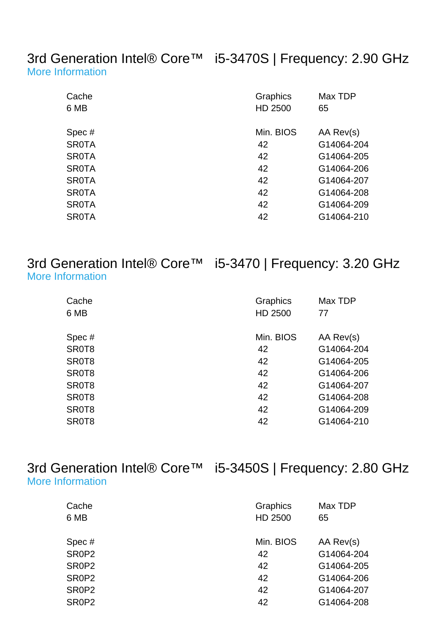3rd Generation Intel® Core™ i5-3470S | Frequency: 2.90 GHz [More Information](http://ark.intel.com/Product.aspx?spec=SR0TA)

| Cache        | Graphics  | Max TDP    |
|--------------|-----------|------------|
| 6 MB         | HD 2500   | 65         |
| Spec#        | Min. BIOS | AA Rev(s)  |
| <b>SR0TA</b> | 42        | G14064-204 |
| <b>SR0TA</b> | 42        | G14064-205 |
| <b>SR0TA</b> | 42        | G14064-206 |
| <b>SR0TA</b> | 42        | G14064-207 |
| <b>SR0TA</b> | 42        | G14064-208 |
| <b>SR0TA</b> | 42        | G14064-209 |
| <b>SR0TA</b> | 42        | G14064-210 |

3rd Generation Intel® Core™ i5-3470 | Frequency: 3.20 GHz [More Information](http://ark.intel.com/Product.aspx?spec=SR0T8)

| Cache | Graphics  | Max TDP    |
|-------|-----------|------------|
| 6 MB  | HD 2500   | 77         |
| Spec# | Min. BIOS | AA Rev(s)  |
| SR0T8 | 42        | G14064-204 |
| SR0T8 | 42        | G14064-205 |
| SR0T8 | 42        | G14064-206 |
| SR0T8 | 42        | G14064-207 |
| SR0T8 | 42        | G14064-208 |
| SR0T8 | 42        | G14064-209 |
| SR0T8 | 42        | G14064-210 |

3rd Generation Intel® Core™ i5-3450S | Frequency: 2.80 GHz [More Information](http://ark.intel.com/Product.aspx?spec=SR0P2)

| Cache                          | Graphics  | Max TDP    |
|--------------------------------|-----------|------------|
| 6 MB                           | HD 2500   | 65         |
|                                |           |            |
| Spec #                         | Min. BIOS | AA Rev(s)  |
| SR0P2                          | 42        | G14064-204 |
| SR0P2                          | 42        | G14064-205 |
| SR0P2                          | 42        | G14064-206 |
| SR0P2                          | 42        | G14064-207 |
| SR <sub>0</sub> P <sub>2</sub> | 42        | G14064-208 |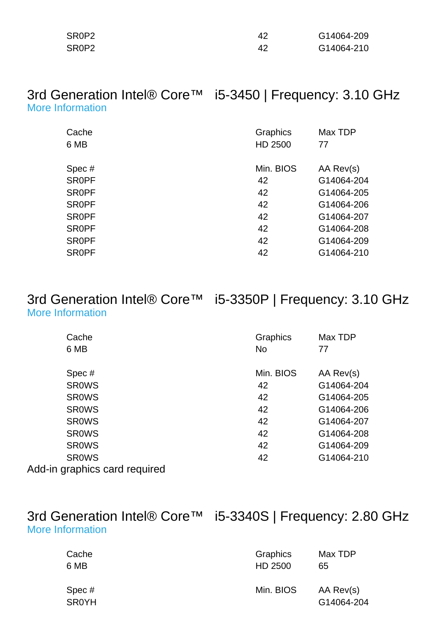| SR0P2 | 42 | G14064-209 |
|-------|----|------------|
| SR0P2 | 42 | G14064-210 |

#### 3rd Generation Intel® Core™ i5-3450 | Frequency: 3.10 GHz [More Information](http://ark.intel.com/Product.aspx?spec=SR0PF)

| Cache        | Graphics  | Max TDP    |
|--------------|-----------|------------|
| 6 MB         | HD 2500   | 77         |
|              |           |            |
| Spec#        | Min. BIOS | AA Rev(s)  |
| <b>SROPF</b> | 42        | G14064-204 |
| <b>SROPF</b> | 42        | G14064-205 |
| <b>SROPF</b> | 42        | G14064-206 |
| <b>SROPF</b> | 42        | G14064-207 |
| <b>SROPF</b> | 42        | G14064-208 |
| <b>SROPF</b> | 42        | G14064-209 |
| <b>SROPF</b> | 42        | G14064-210 |

#### 3rd Generation Intel® Core™ i5-3350P | Frequency: 3.10 GHz [More Information](http://ark.intel.com/Product.aspx?spec=SR0WS)

| Cache                         | Graphics  | Max TDP    |
|-------------------------------|-----------|------------|
| 6 MB                          | <b>No</b> | 77         |
|                               |           |            |
| Spec#                         | Min. BIOS | AA Rev(s)  |
| <b>SROWS</b>                  | 42        | G14064-204 |
| <b>SROWS</b>                  | 42        | G14064-205 |
| <b>SROWS</b>                  | 42        | G14064-206 |
| <b>SROWS</b>                  | 42        | G14064-207 |
| <b>SROWS</b>                  | 42        | G14064-208 |
| <b>SROWS</b>                  | 42        | G14064-209 |
| <b>SROWS</b>                  | 42        | G14064-210 |
| Add-in graphics card required |           |            |

#### 3rd Generation Intel® Core™ i5-3340S | Frequency: 2.80 GHz [More Information](http://ark.intel.com/Product.aspx?spec=SR0YH)

| Cache                 | Graphics  | Max TDP                 |
|-----------------------|-----------|-------------------------|
| 6 MB                  | HD 2500   | 65                      |
| Spec#<br><b>SR0YH</b> | Min. BIOS | AA Rev(s)<br>G14064-204 |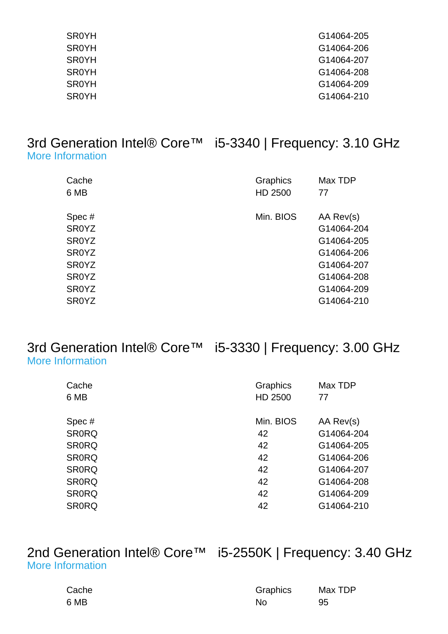| <b>SR0YH</b> | G14064-205 |
|--------------|------------|
| <b>SR0YH</b> | G14064-206 |
| <b>SR0YH</b> | G14064-207 |
| <b>SROYH</b> | G14064-208 |
| <b>SROYH</b> | G14064-209 |
| <b>SR0YH</b> | G14064-210 |

#### 3rd Generation Intel® Core™ i5-3340 | Frequency: 3.10 GHz [More Information](http://ark.intel.com/Product.aspx?spec=SR0YZ)

| Cache<br>6 MB      | Graphics<br>HD 2500 | Max TDP<br>77 |
|--------------------|---------------------|---------------|
| Spec#              | Min. BIOS           | AA Rev(s)     |
| <b>SR0YZ</b>       |                     | G14064-204    |
| SR <sub>0</sub> YZ |                     | G14064-205    |
| <b>SROYZ</b>       |                     | G14064-206    |
| <b>SROYZ</b>       |                     | G14064-207    |
| SR <sub>0</sub> YZ |                     | G14064-208    |
| <b>SROYZ</b>       |                     | G14064-209    |
| <b>SR0YZ</b>       |                     | G14064-210    |

#### 3rd Generation Intel® Core™ i5-3330 | Frequency: 3.00 GHz [More Information](http://ark.intel.com/Product.aspx?spec=SR0RQ)

| Cache<br>6 MB | Graphics<br>HD 2500 | Max TDP<br>77 |
|---------------|---------------------|---------------|
| Spec#         | Min. BIOS           | AA Rev(s)     |
| <b>SR0RQ</b>  | 42                  | G14064-204    |
| <b>SR0RQ</b>  | 42                  | G14064-205    |
| <b>SR0RQ</b>  | 42                  | G14064-206    |
| <b>SR0RQ</b>  | 42                  | G14064-207    |
| <b>SRORQ</b>  | 42                  | G14064-208    |
| <b>SR0RQ</b>  | 42                  | G14064-209    |
| <b>SRORQ</b>  | 42                  | G14064-210    |

#### 2nd Generation Intel® Core™ i5-2550K | Frequency: 3.40 GHz [More Information](http://ark.intel.com/Product.aspx?spec=SR0QH)

| Cache | Graphics | Max TDP |
|-------|----------|---------|
| 6 MB  | No       | 95      |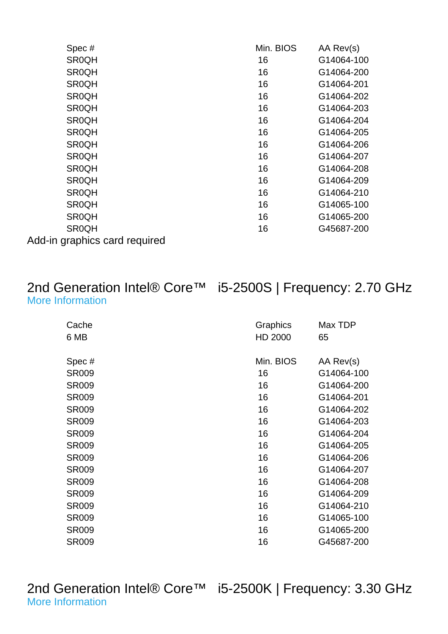| Spec#                  | Min. BIOS | AA Rev(s)  |
|------------------------|-----------|------------|
| <b>SR0QH</b>           | 16        | G14064-100 |
| <b>SR0QH</b>           | 16        | G14064-200 |
| <b>SR0QH</b>           | 16        | G14064-201 |
| <b>SR0QH</b>           | 16        | G14064-202 |
| <b>SR0QH</b>           | 16        | G14064-203 |
| <b>SR0QH</b>           | 16        | G14064-204 |
| <b>SR0QH</b>           | 16        | G14064-205 |
| <b>SR0QH</b>           | 16        | G14064-206 |
| <b>SR0QH</b>           | 16        | G14064-207 |
| <b>SR0QH</b>           | 16        | G14064-208 |
| <b>SR0QH</b>           | 16        | G14064-209 |
| <b>SR0QH</b>           | 16        | G14064-210 |
| <b>SR0QH</b>           | 16        | G14065-100 |
| <b>SR0QH</b>           | 16        | G14065-200 |
| <b>SR0QH</b>           | 16        | G45687-200 |
| aronbioo oord roquirod |           |            |

Add-in graphics card required

### 2nd Generation Intel® Core™ i5-2500S | Frequency: 2.70 GHz [More Information](http://ark.intel.com/Product.aspx?spec=SR009)

| Cache<br>6 MB | Graphics<br>HD 2000 | Max TDP<br>65 |
|---------------|---------------------|---------------|
| Spec#         | Min. BIOS           | AA Rev(s)     |
| <b>SR009</b>  | 16                  | G14064-100    |
| <b>SR009</b>  | 16                  | G14064-200    |
| <b>SR009</b>  | 16                  | G14064-201    |
| <b>SR009</b>  | 16                  | G14064-202    |
| <b>SR009</b>  | 16                  | G14064-203    |
| <b>SR009</b>  | 16                  | G14064-204    |
| <b>SR009</b>  | 16                  | G14064-205    |
| <b>SR009</b>  | 16                  | G14064-206    |
| <b>SR009</b>  | 16                  | G14064-207    |
| <b>SR009</b>  | 16                  | G14064-208    |
| <b>SR009</b>  | 16                  | G14064-209    |
| <b>SR009</b>  | 16                  | G14064-210    |
| <b>SR009</b>  | 16                  | G14065-100    |
| <b>SR009</b>  | 16                  | G14065-200    |
| <b>SR009</b>  | 16                  | G45687-200    |

2nd Generation Intel® Core™ i5-2500K | Frequency: 3.30 GHz [More Information](http://ark.intel.com/Product.aspx?spec=SR008)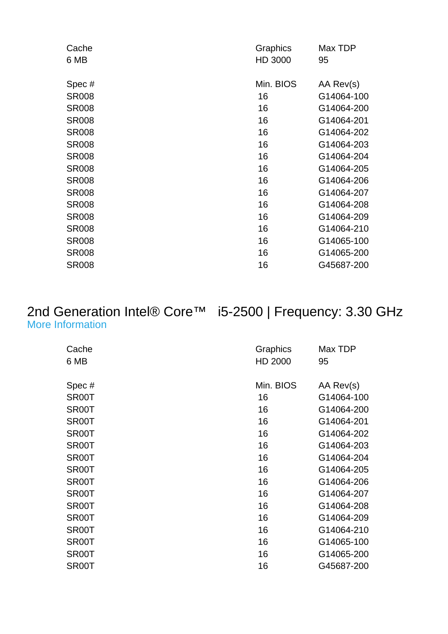| Cache        | Graphics  | Max TDP    |
|--------------|-----------|------------|
| 6 MB         | HD 3000   | 95         |
|              |           |            |
| Spec#        | Min. BIOS | AA Rev(s)  |
| <b>SR008</b> | 16        | G14064-100 |
| <b>SR008</b> | 16        | G14064-200 |
| <b>SR008</b> | 16        | G14064-201 |
| <b>SR008</b> | 16        | G14064-202 |
| <b>SR008</b> | 16        | G14064-203 |
| <b>SR008</b> | 16        | G14064-204 |
| <b>SR008</b> | 16        | G14064-205 |
| <b>SR008</b> | 16        | G14064-206 |
| <b>SR008</b> | 16        | G14064-207 |
| <b>SR008</b> | 16        | G14064-208 |
| <b>SR008</b> | 16        | G14064-209 |
| <b>SR008</b> | 16        | G14064-210 |
| <b>SR008</b> | 16        | G14065-100 |
| <b>SR008</b> | 16        | G14065-200 |
| <b>SR008</b> | 16        | G45687-200 |
|              |           |            |

#### 2nd Generation Intel® Core™ i5-2500 | Frequency: 3.30 GHz [More Information](http://ark.intel.com/Product.aspx?spec=SR00T)

| Cache<br>6 MB      | Graphics<br>HD 2000 | Max TDP<br>95 |
|--------------------|---------------------|---------------|
| Spec#              | Min. BIOS           | AA Rev(s)     |
| SR00T              | 16                  | G14064-100    |
| SR00T              | 16                  | G14064-200    |
| SR <sub>00</sub> T | 16                  | G14064-201    |
| SR00T              | 16                  | G14064-202    |
| SR <sub>00</sub> T | 16                  | G14064-203    |
| SR00T              | 16                  | G14064-204    |
| SR00T              | 16                  | G14064-205    |
| SR00T              | 16                  | G14064-206    |
| SR00T              | 16                  | G14064-207    |
| SR00T              | 16                  | G14064-208    |
| SR00T              | 16                  | G14064-209    |
| SR00T              | 16                  | G14064-210    |
| SR00T              | 16                  | G14065-100    |
| SR00T              | 16                  | G14065-200    |
| SR00T              | 16                  | G45687-200    |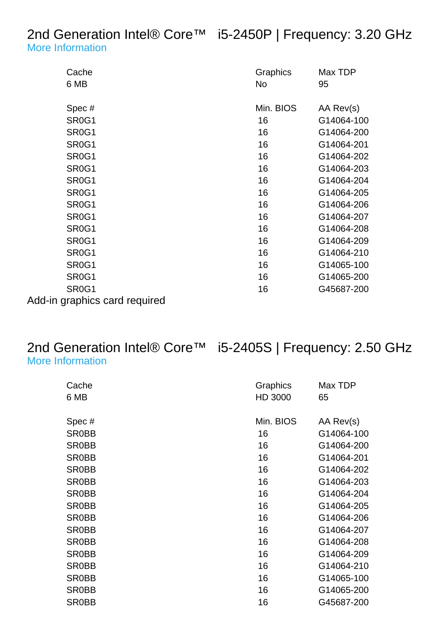#### 2nd Generation Intel® Core™ i5-2450P | Frequency: 3.20 GHz [More Information](http://ark.intel.com/Product.aspx?spec=SR0G1)

| Cache<br>6 MB                                                             | Graphics<br>No        | Max TDP<br>95                         |
|---------------------------------------------------------------------------|-----------------------|---------------------------------------|
| Spec#<br>SR <sub>0</sub> G <sub>1</sub><br>SR <sub>0</sub> G <sub>1</sub> | Min. BIOS<br>16<br>16 | AA Rev(s)<br>G14064-100<br>G14064-200 |
| SR <sub>0</sub> G <sub>1</sub>                                            | 16                    | G14064-201                            |
| SR <sub>0</sub> G <sub>1</sub>                                            | 16                    | G14064-202                            |
| SR <sub>0</sub> G <sub>1</sub>                                            | 16                    | G14064-203                            |
| SR <sub>0</sub> G <sub>1</sub>                                            | 16                    | G14064-204                            |
| SR <sub>0</sub> G <sub>1</sub>                                            | 16                    | G14064-205                            |
| SR <sub>0</sub> G <sub>1</sub>                                            | 16                    | G14064-206                            |
| SR <sub>0</sub> G <sub>1</sub>                                            | 16                    | G14064-207                            |
| SR <sub>0</sub> G <sub>1</sub>                                            | 16                    | G14064-208                            |
| SR <sub>0</sub> G <sub>1</sub>                                            | 16                    | G14064-209                            |
| SR <sub>0</sub> G <sub>1</sub>                                            | 16                    | G14064-210                            |
| SR <sub>0</sub> G <sub>1</sub>                                            | 16                    | G14065-100                            |
| SR <sub>0</sub> G <sub>1</sub>                                            | 16                    | G14065-200                            |
| SR <sub>0</sub> G <sub>1</sub>                                            | 16                    | G45687-200                            |
| Add-in graphics card required                                             |                       |                                       |

# 2nd Generation Intel® Core™ i5-2405S | Frequency: 2.50 GHz

[More Information](http://ark.intel.com/Product.aspx?spec=SR0BB)

| Cache<br>6 MB | Graphics<br>HD 3000 | Max TDP<br>65 |
|---------------|---------------------|---------------|
|               |                     |               |
| Spec#         | Min. BIOS           | AA Rev(s)     |
| <b>SR0BB</b>  | 16                  | G14064-100    |
| <b>SR0BB</b>  | 16                  | G14064-200    |
| SR0BB         | 16                  | G14064-201    |
| SR0BB         | 16                  | G14064-202    |
| <b>SR0BB</b>  | 16                  | G14064-203    |
| <b>SR0BB</b>  | 16                  | G14064-204    |
| SR0BB         | 16                  | G14064-205    |
| <b>SR0BB</b>  | 16                  | G14064-206    |
| <b>SR0BB</b>  | 16                  | G14064-207    |
| SR0BB         | 16                  | G14064-208    |
| SR0BB         | 16                  | G14064-209    |
| SR0BB         | 16                  | G14064-210    |
| SR0BB         | 16                  | G14065-100    |
| SR0BB         | 16                  | G14065-200    |
| <b>SR0BB</b>  | 16                  | G45687-200    |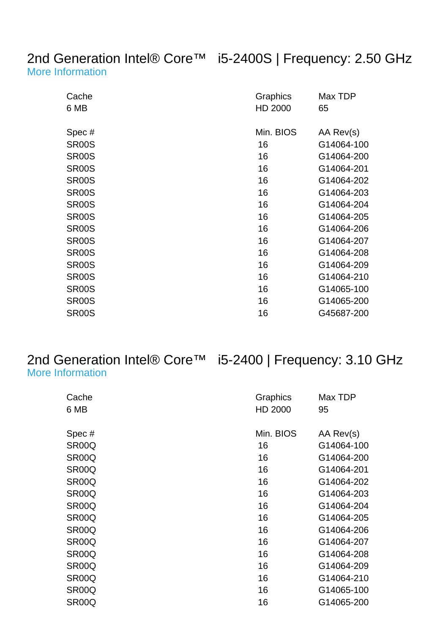#### 2nd Generation Intel® Core™ i5-2400S | Frequency: 2.50 GHz [More Information](http://ark.intel.com/Product.aspx?spec=SR00S)

| Cache<br>6 MB      | Graphics<br>HD 2000 | Max TDP<br>65 |
|--------------------|---------------------|---------------|
| Spec#              | Min. BIOS           | AA Rev(s)     |
| <b>SR00S</b>       | 16                  | G14064-100    |
| SR <sub>00</sub> S | 16                  | G14064-200    |
| SR <sub>00</sub> S | 16                  | G14064-201    |
| SR <sub>00</sub> S | 16                  | G14064-202    |
| <b>SR00S</b>       | 16                  | G14064-203    |
| SR <sub>00</sub> S | 16                  | G14064-204    |
| <b>SR00S</b>       | 16                  | G14064-205    |
| <b>SR00S</b>       | 16                  | G14064-206    |
| <b>SR00S</b>       | 16                  | G14064-207    |
| SR <sub>00</sub> S | 16                  | G14064-208    |
| SR <sub>00</sub> S | 16                  | G14064-209    |
| SR <sub>00</sub> S | 16                  | G14064-210    |
| <b>SR00S</b>       | 16                  | G14065-100    |
| <b>SR00S</b>       | 16                  | G14065-200    |
| <b>SR00S</b>       | 16                  | G45687-200    |

## 2nd Generation Intel® Core™ i5-2400 | Frequency: 3.10 GHz

|  | <b>More Information</b> |
|--|-------------------------|
|  |                         |

| Cache              | Graphics  | Max TDP    |
|--------------------|-----------|------------|
| 6 MB               | HD 2000   | 95         |
| Spec#              | Min. BIOS | AA Rev(s)  |
| SR <sub>00</sub> Q |           |            |
|                    | 16        | G14064-100 |
| SR <sub>00</sub> Q | 16        | G14064-200 |
| SR <sub>00</sub> Q | 16        | G14064-201 |
| SR <sub>00</sub> Q | 16        | G14064-202 |
| SR <sub>00</sub> Q | 16        | G14064-203 |
| SR <sub>00</sub> Q | 16        | G14064-204 |
| SR <sub>00</sub> Q | 16        | G14064-205 |
| SR00Q              | 16        | G14064-206 |
| SR <sub>00</sub> Q | 16        | G14064-207 |
| SR <sub>00</sub> Q | 16        | G14064-208 |
| SR <sub>00</sub> Q | 16        | G14064-209 |
| SR <sub>00</sub> Q | 16        | G14064-210 |
| SR <sub>00</sub> Q | 16        | G14065-100 |
| SR <sub>00</sub> Q | 16        | G14065-200 |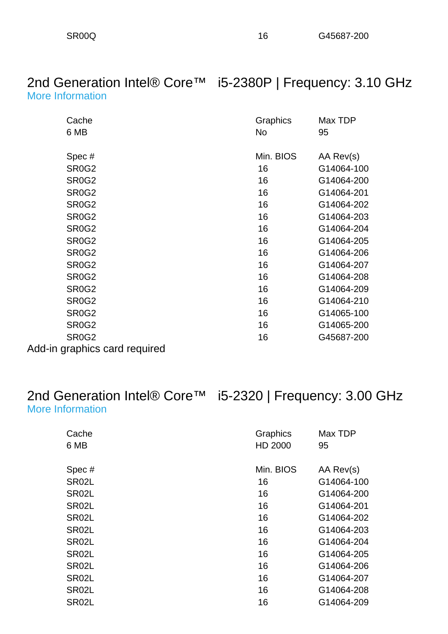#### 2nd Generation Intel® Core™ i5-2380P | Frequency: 3.10 GHz [More Information](http://ark.intel.com/Product.aspx?spec=SR0G2)

| Cache                          | Graphics  | Max TDP    |
|--------------------------------|-----------|------------|
| 6 MB                           | No        | 95         |
|                                |           |            |
| Spec#                          | Min. BIOS | AA Rev(s)  |
| SR <sub>0</sub> G <sub>2</sub> | 16        | G14064-100 |
| SR <sub>0</sub> G <sub>2</sub> | 16        | G14064-200 |
| SR <sub>0</sub> G <sub>2</sub> | 16        | G14064-201 |
| SR <sub>0</sub> G <sub>2</sub> | 16        | G14064-202 |
| SR <sub>0</sub> G <sub>2</sub> | 16        | G14064-203 |
| SR <sub>0</sub> G <sub>2</sub> | 16        | G14064-204 |
| SR <sub>0</sub> G <sub>2</sub> | 16        | G14064-205 |
| SR <sub>0</sub> G <sub>2</sub> | 16        | G14064-206 |
| SR <sub>0</sub> G <sub>2</sub> | 16        | G14064-207 |
| SR <sub>0</sub> G <sub>2</sub> | 16        | G14064-208 |
| SR <sub>0</sub> G <sub>2</sub> | 16        | G14064-209 |
| SR <sub>0</sub> G <sub>2</sub> | 16        | G14064-210 |
| <b>SR0G2</b>                   | 16        | G14065-100 |
| SR <sub>0</sub> G <sub>2</sub> | 16        | G14065-200 |
| SR <sub>0</sub> G <sub>2</sub> | 16        | G45687-200 |
| n aranhice card roquirod       |           |            |

Add-in graphics card required

# [More Information](http://ark.intel.com/Product.aspx?spec=SR02L)

## 2nd Generation Intel® Core™ i5-2320 | Frequency: 3.00 GHz

| Cache              | Graphics  | Max TDP    |
|--------------------|-----------|------------|
| 6 MB               | HD 2000   | 95         |
| Spec#              | Min. BIOS | AA Rev(s)  |
| SR02L              | 16        | G14064-100 |
| SR02L              | 16        | G14064-200 |
| SR02L              | 16        | G14064-201 |
| SR02L              | 16        | G14064-202 |
| SR02L              | 16        | G14064-203 |
| SR02L              | 16        | G14064-204 |
| SR <sub>02</sub> L | 16        | G14064-205 |
| SR02L              | 16        | G14064-206 |
| SR02L              | 16        | G14064-207 |
| SR02L              | 16        | G14064-208 |
| SR <sub>02</sub> L | 16        | G14064-209 |
|                    |           |            |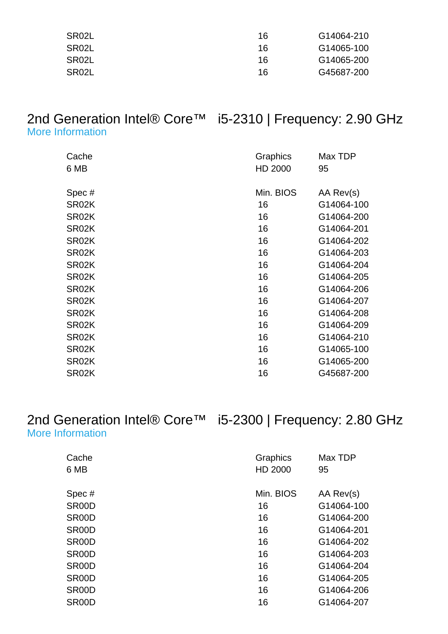| SR02L | 16 | G14064-210 |
|-------|----|------------|
| SR02L | 16 | G14065-100 |
| SR02L | 16 | G14065-200 |
| SR02L | 16 | G45687-200 |

#### 2nd Generation Intel® Core™ i5-2310 | Frequency: 2.90 GHz [More Information](http://ark.intel.com/Product.aspx?spec=SR02K)

| Cache<br>6 MB      | Graphics<br>HD 2000 | Max TDP<br>95 |
|--------------------|---------------------|---------------|
| Spec#              | Min. BIOS           | AA Rev(s)     |
| SR02K              | 16                  | G14064-100    |
| SR02K              | 16                  | G14064-200    |
| SR02K              | 16                  | G14064-201    |
| SR02K              | 16                  | G14064-202    |
| SR02K              | 16                  | G14064-203    |
| SR02K              | 16                  | G14064-204    |
| SR02K              | 16                  | G14064-205    |
| SR02K              | 16                  | G14064-206    |
| SR02K              | 16                  | G14064-207    |
| SR02K              | 16                  | G14064-208    |
| SR02K              | 16                  | G14064-209    |
| SR <sub>02</sub> K | 16                  | G14064-210    |
| SR02K              | 16                  | G14065-100    |
| SR02K              | 16                  | G14065-200    |
| SR02K              | 16                  | G45687-200    |

#### 2nd Generation Intel® Core™ i5-2300 | Frequency: 2.80 GHz [More Information](http://ark.intel.com/Product.aspx?spec=SR00D)

| Cache<br>6 MB      | Graphics<br>HD 2000 | Max TDP<br>95 |
|--------------------|---------------------|---------------|
| Spec#              | Min. BIOS           | AA Rev(s)     |
| SR00D              | 16                  | G14064-100    |
| SR <sub>00</sub> D | 16                  | G14064-200    |
| SR <sub>00</sub> D | 16                  | G14064-201    |
| SR <sub>00</sub> D | 16                  | G14064-202    |
| SR <sub>00</sub> D | 16                  | G14064-203    |
| SR <sub>00</sub> D | 16                  | G14064-204    |
| SR <sub>00</sub> D | 16                  | G14064-205    |
| SR <sub>00</sub> D | 16                  | G14064-206    |
| SR <sub>00</sub> D | 16                  | G14064-207    |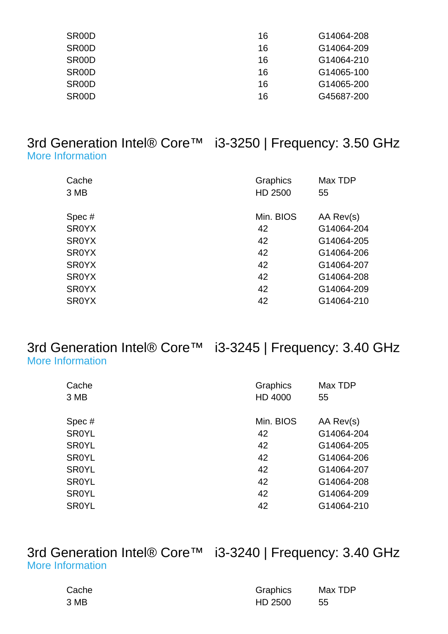| SR <sub>00</sub> D | 16 | G14064-208 |
|--------------------|----|------------|
| SR <sub>00</sub> D | 16 | G14064-209 |
| SR <sub>00</sub> D | 16 | G14064-210 |
| SR <sub>00</sub> D | 16 | G14065-100 |
| SR <sub>00</sub> D | 16 | G14065-200 |
| SR <sub>00</sub> D | 16 | G45687-200 |

#### 3rd Generation Intel® Core™ i3-3250 | Frequency: 3.50 GHz [More Information](http://ark.intel.com/Product.aspx?spec=SR0YX)

| Cache<br>3 MB | Graphics<br>HD 2500 | Max TDP<br>55 |
|---------------|---------------------|---------------|
| Spec#         | Min. BIOS           | AA Rev(s)     |
| <b>SR0YX</b>  | 42                  | G14064-204    |
| <b>SROYX</b>  | 42                  | G14064-205    |
| <b>SROYX</b>  | 42                  | G14064-206    |
| <b>SROYX</b>  | 42                  | G14064-207    |
| <b>SR0YX</b>  | 42                  | G14064-208    |
| <b>SR0YX</b>  | 42                  | G14064-209    |
| <b>SROYX</b>  | 42                  | G14064-210    |

#### 3rd Generation Intel® Core™ i3-3245 | Frequency: 3.40 GHz [More Information](http://ark.intel.com/Product.aspx?spec=SR0YL)

| Graphics<br>HD 4000 | Max TDP<br>55 |
|---------------------|---------------|
| Min. BIOS           | AA Rev(s)     |
| 42                  | G14064-204    |
| 42                  | G14064-205    |
| 42                  | G14064-206    |
| 42                  | G14064-207    |
| 42                  | G14064-208    |
| 42                  | G14064-209    |
| 42                  | G14064-210    |
|                     |               |

#### 3rd Generation Intel® Core™ i3-3240 | Frequency: 3.40 GHz [More Information](http://ark.intel.com/Product.aspx?spec=SR0RH)

| Cache | Graphics | Max TDP |
|-------|----------|---------|
| 3 MB  | HD 2500  | -55     |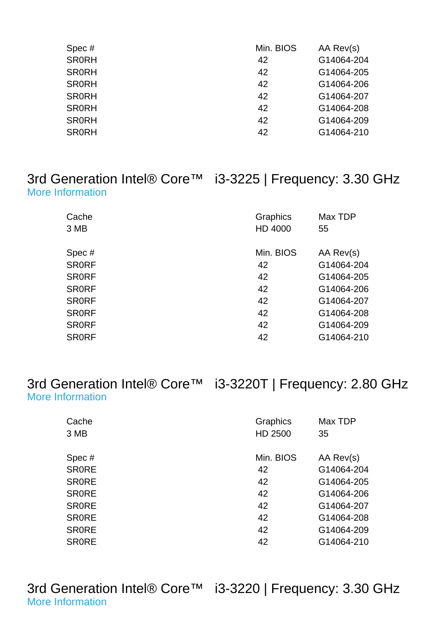| Spec#        | Min. BIOS | AA Rev(s)  |
|--------------|-----------|------------|
| <b>SR0RH</b> | 42        | G14064-204 |
| <b>SR0RH</b> | 42        | G14064-205 |
| <b>SR0RH</b> | 42        | G14064-206 |
| <b>SR0RH</b> | 42        | G14064-207 |
| <b>SR0RH</b> | 42        | G14064-208 |
| <b>SR0RH</b> | 42        | G14064-209 |
| <b>SR0RH</b> | 42        | G14064-210 |
|              |           |            |

### 3rd Generation Intel® Core™ i3-3225 | Frequency: 3.30 GHz [More Information](http://ark.intel.com/Product.aspx?spec=SR0RF)

| Cache<br>3 MB | Graphics<br>HD 4000 | Max TDP<br>55 |
|---------------|---------------------|---------------|
| Spec#         | Min. BIOS           | AA Rev(s)     |
| <b>SRORF</b>  | 42                  | G14064-204    |
| <b>SRORF</b>  | 42                  | G14064-205    |
| <b>SRORF</b>  | 42                  | G14064-206    |
| <b>SRORF</b>  | 42                  | G14064-207    |
| <b>SRORF</b>  | 42                  | G14064-208    |
| <b>SRORF</b>  | 42                  | G14064-209    |
| <b>SRORF</b>  | 42                  | G14064-210    |
|               |                     |               |

3rd Generation Intel® Core™ i3-3220T | Frequency: 2.80 GHz [More Information](http://ark.intel.com/Product.aspx?spec=SR0RE)

| Cache        | Graphics  | Max TDP    |
|--------------|-----------|------------|
| 3 MB         | HD 2500   | 35         |
| Spec#        | Min. BIOS | AA Rev(s)  |
| <b>SRORE</b> | 42        | G14064-204 |
| <b>SRORE</b> | 42        | G14064-205 |
| <b>SRORE</b> | 42        | G14064-206 |
| <b>SRORE</b> | 42        | G14064-207 |
| <b>SRORE</b> | 42        | G14064-208 |
| <b>SRORE</b> | 42        | G14064-209 |
| <b>SRORE</b> | 42        | G14064-210 |

3rd Generation Intel® Core™ i3-3220 | Frequency: 3.30 GHz [More Information](http://ark.intel.com/Product.aspx?spec=SR0RG)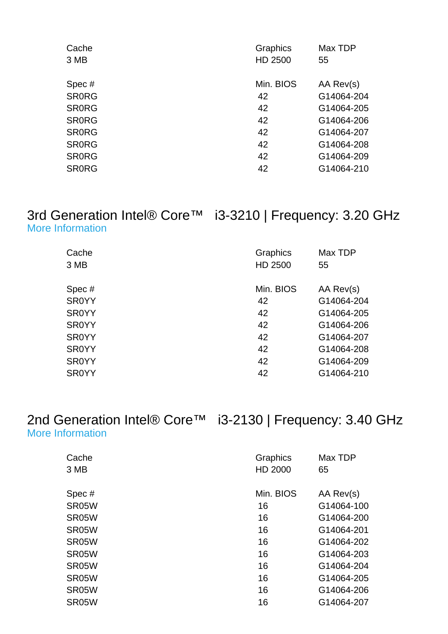| Cache        | Graphics  | Max TDP    |
|--------------|-----------|------------|
| 3 MB         | HD 2500   | 55         |
|              |           |            |
| Spec#        | Min. BIOS | AA Rev(s)  |
| <b>SRORG</b> | 42        | G14064-204 |
| <b>SRORG</b> | 42        | G14064-205 |
| <b>SRORG</b> | 42        | G14064-206 |
| <b>SRORG</b> | 42        | G14064-207 |
| <b>SRORG</b> | 42        | G14064-208 |
| <b>SRORG</b> | 42        | G14064-209 |
| <b>SRORG</b> | 42        | G14064-210 |
|              |           |            |

# 3rd Generation Intel® Core™ i3-3210 | Frequency: 3.20 GHz

[More Information](http://ark.intel.com/Product.aspx?spec=SR0YY)

| Graphics  | Max TDP    |
|-----------|------------|
| HD 2500   | 55         |
| Min. BIOS | AA Rev(s)  |
| 42        | G14064-204 |
| 42        | G14064-205 |
| 42        | G14064-206 |
| 42        | G14064-207 |
| 42        | G14064-208 |
| 42        | G14064-209 |
| 42        | G14064-210 |
|           |            |

#### 2nd Generation Intel® Core™ i3-2130 | Frequency: 3.40 GHz [More Information](http://ark.intel.com/Product.aspx?spec=SR05W)

| Cache<br>3 MB | Graphics<br>HD 2000 | Max TDP<br>65 |
|---------------|---------------------|---------------|
| Spec#         | Min. BIOS           | AA Rev(s)     |
| SR05W         | 16                  | G14064-100    |
| SR05W         | 16                  | G14064-200    |
| SR05W         | 16                  | G14064-201    |
| SR05W         | 16                  | G14064-202    |
| SR05W         | 16                  | G14064-203    |
| SR05W         | 16                  | G14064-204    |
| SR05W         | 16                  | G14064-205    |
| SR05W         | 16                  | G14064-206    |
| SR05W         | 16                  | G14064-207    |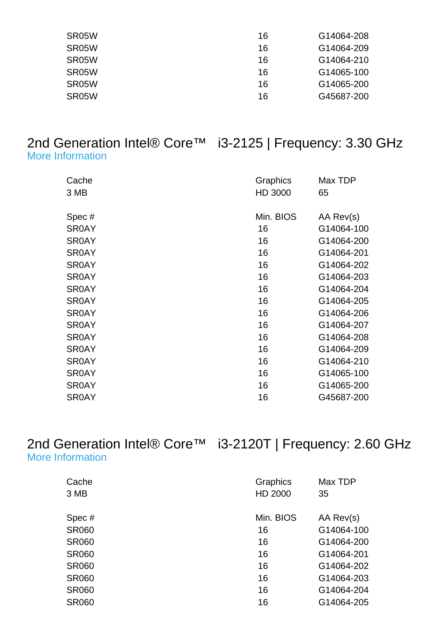| 16 | G14064-208 |
|----|------------|
| 16 | G14064-209 |
| 16 | G14064-210 |
| 16 | G14065-100 |
| 16 | G14065-200 |
| 16 | G45687-200 |
|    |            |

#### 2nd Generation Intel® Core™ i3-2125 | Frequency: 3.30 GHz [More Information](http://ark.intel.com/Product.aspx?spec=SR0AY)

| Cache<br>3 MB | Graphics<br>HD 3000 | Max TDP<br>65 |
|---------------|---------------------|---------------|
| Spec#         | Min. BIOS           | AA Rev(s)     |
| <b>SR0AY</b>  | 16                  | G14064-100    |
| <b>SR0AY</b>  | 16                  | G14064-200    |
| <b>SR0AY</b>  | 16                  | G14064-201    |
| <b>SR0AY</b>  | 16                  | G14064-202    |
| <b>SR0AY</b>  | 16                  | G14064-203    |
| <b>SR0AY</b>  | 16                  | G14064-204    |
| <b>SR0AY</b>  | 16                  | G14064-205    |
| <b>SR0AY</b>  | 16                  | G14064-206    |
| <b>SR0AY</b>  | 16                  | G14064-207    |
| <b>SR0AY</b>  | 16                  | G14064-208    |
| <b>SR0AY</b>  | 16                  | G14064-209    |
| <b>SR0AY</b>  | 16                  | G14064-210    |
| <b>SR0AY</b>  | 16                  | G14065-100    |
| <b>SR0AY</b>  | 16                  | G14065-200    |
| <b>SR0AY</b>  | 16                  | G45687-200    |

#### 2nd Generation Intel® Core™ i3-2120T | Frequency: 2.60 GHz [More Information](http://ark.intel.com/Product.aspx?spec=SR060)

| Cache        | <b>Graphics</b> | Max TDP    |
|--------------|-----------------|------------|
| 3 MB         | HD 2000         | 35         |
| Spec#        | Min. BIOS       | AA Rev(s)  |
| <b>SR060</b> | 16              | G14064-100 |
| <b>SR060</b> | 16              | G14064-200 |
| <b>SR060</b> | 16              | G14064-201 |
| <b>SR060</b> | 16              | G14064-202 |
| <b>SR060</b> | 16              | G14064-203 |
| <b>SR060</b> | 16              | G14064-204 |
| <b>SR060</b> | 16              | G14064-205 |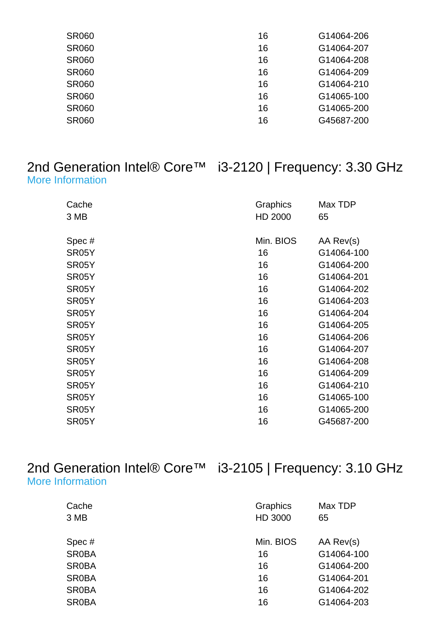| <b>SR060</b> | 16 | G14064-206 |
|--------------|----|------------|
| <b>SR060</b> | 16 | G14064-207 |
| <b>SR060</b> | 16 | G14064-208 |
| <b>SR060</b> | 16 | G14064-209 |
| <b>SR060</b> | 16 | G14064-210 |
| <b>SR060</b> | 16 | G14065-100 |
| <b>SR060</b> | 16 | G14065-200 |
| <b>SR060</b> | 16 | G45687-200 |
|              |    |            |

#### 2nd Generation Intel® Core™ i3-2120 | Frequency: 3.30 GHz [More Information](http://ark.intel.com/Product.aspx?spec=SR05Y)

| Cache<br>3 MB      | Graphics<br>HD 2000 | Max TDP<br>65 |
|--------------------|---------------------|---------------|
| Spec#              | Min. BIOS           | AA Rev(s)     |
| SR05Y              | 16                  | G14064-100    |
| SR05Y              | 16                  | G14064-200    |
| SR05Y              | 16                  | G14064-201    |
| SR05Y              | 16                  | G14064-202    |
| SR <sub>05</sub> Y | 16                  | G14064-203    |
| SR05Y              | 16                  | G14064-204    |
| SR05Y              | 16                  | G14064-205    |
| SR05Y              | 16                  | G14064-206    |
| SR05Y              | 16                  | G14064-207    |
| SR05Y              | 16                  | G14064-208    |
| SR05Y              | 16                  | G14064-209    |
| SR05Y              | 16                  | G14064-210    |
| SR05Y              | 16                  | G14065-100    |
| SR05Y              | 16                  | G14065-200    |
| SR05Y              | 16                  | G45687-200    |

#### 2nd Generation Intel® Core™ i3-2105 | Frequency: 3.10 GHz [More Information](http://ark.intel.com/Product.aspx?spec=SR0BA)

| Cache        | Graphics  | Max TDP    |
|--------------|-----------|------------|
| 3 MB         | HD 3000   | 65         |
| Spec#        | Min. BIOS | AA Rev(s)  |
| <b>SR0BA</b> | 16        | G14064-100 |
| <b>SR0BA</b> | 16        | G14064-200 |
| <b>SR0BA</b> | 16        | G14064-201 |
| <b>SR0BA</b> | 16        | G14064-202 |
| <b>SR0BA</b> | 16        | G14064-203 |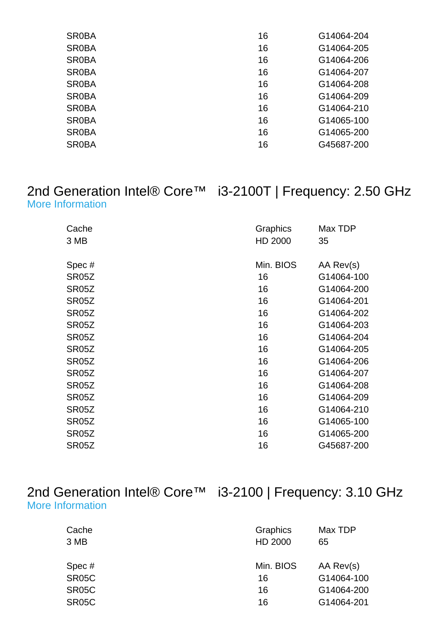| <b>SROBA</b> | 16 | G14064-204 |
|--------------|----|------------|
| <b>SR0BA</b> | 16 | G14064-205 |
| <b>SR0BA</b> | 16 | G14064-206 |
| <b>SROBA</b> | 16 | G14064-207 |
| <b>SROBA</b> | 16 | G14064-208 |
| <b>SR0BA</b> | 16 | G14064-209 |
| <b>SROBA</b> | 16 | G14064-210 |
| <b>SROBA</b> | 16 | G14065-100 |
| <b>SR0BA</b> | 16 | G14065-200 |
| <b>SR0BA</b> | 16 | G45687-200 |
|              |    |            |

#### 2nd Generation Intel® Core™ i3-2100T | Frequency: 2.50 GHz [More Information](http://ark.intel.com/Product.aspx?spec=SR05Z)

| Cache<br>3 MB      | Graphics<br>HD 2000 | Max TDP<br>35 |
|--------------------|---------------------|---------------|
| Spec#              | Min. BIOS           | AA Rev(s)     |
| SR05Z              | 16                  | G14064-100    |
| SR05Z              | 16                  | G14064-200    |
| SR <sub>05</sub> Z | 16                  | G14064-201    |
| SR05Z              | 16                  | G14064-202    |
| SR05Z              | 16                  | G14064-203    |
| SR05Z              | 16                  | G14064-204    |
| SR <sub>05</sub> Z | 16                  | G14064-205    |
| SR05Z              | 16                  | G14064-206    |
| SR05Z              | 16                  | G14064-207    |
| SR05Z              | 16                  | G14064-208    |
| SR05Z              | 16                  | G14064-209    |
| SR05Z              | 16                  | G14064-210    |
| SR05Z              | 16                  | G14065-100    |
| SR05Z              | 16                  | G14065-200    |
| SR <sub>05</sub> Z | 16                  | G45687-200    |

| 2nd Generation Intel® Core™ |  |
|-----------------------------|--|
| More Information            |  |

## i3-2100 | Frequency: 3.10 GHz

| Cache<br>3 MB | Graphics<br>HD 2000 | Max TDP<br>65 |
|---------------|---------------------|---------------|
| Spec#         | Min. BIOS           | AA Rev(s)     |
| <b>SR05C</b>  | 16                  | G14064-100    |
| <b>SR05C</b>  | 16                  | G14064-200    |
| <b>SR05C</b>  | 16                  | G14064-201    |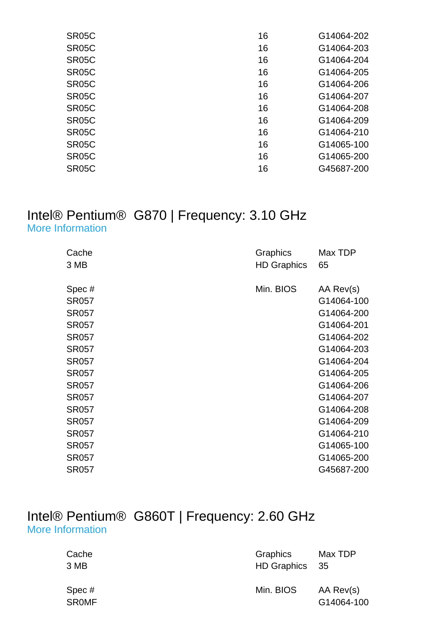| SR05C              | 16 | G14064-202 |
|--------------------|----|------------|
| SR <sub>05</sub> C | 16 | G14064-203 |
| SR <sub>05</sub> C | 16 | G14064-204 |
| SR <sub>05</sub> C | 16 | G14064-205 |
| SR <sub>05</sub> C | 16 | G14064-206 |
| SR <sub>05</sub> C | 16 | G14064-207 |
| SR <sub>05</sub> C | 16 | G14064-208 |
| SR <sub>05</sub> C | 16 | G14064-209 |
| SR <sub>05</sub> C | 16 | G14064-210 |
| SR <sub>05</sub> C | 16 | G14065-100 |
| SR <sub>05</sub> C | 16 | G14065-200 |
| SR <sub>05</sub> C | 16 | G45687-200 |
|                    |    |            |

#### Intel® Pentium® G870 | Frequency: 3.10 GHz [More Information](http://ark.intel.com/Product.aspx?spec=SR057)

| Cache        | Graphics           | Max TDP    |
|--------------|--------------------|------------|
| 3 MB         | <b>HD Graphics</b> | 65         |
|              |                    |            |
| Spec#        | Min. BIOS          | AA Rev(s)  |
| <b>SR057</b> |                    | G14064-100 |
| <b>SR057</b> |                    | G14064-200 |
| <b>SR057</b> |                    | G14064-201 |
| <b>SR057</b> |                    | G14064-202 |
| <b>SR057</b> |                    | G14064-203 |
| <b>SR057</b> |                    | G14064-204 |
| <b>SR057</b> |                    | G14064-205 |
| <b>SR057</b> |                    | G14064-206 |
| <b>SR057</b> |                    | G14064-207 |
| <b>SR057</b> |                    | G14064-208 |
| <b>SR057</b> |                    | G14064-209 |
| <b>SR057</b> |                    | G14064-210 |
| <b>SR057</b> |                    | G14065-100 |
| <b>SR057</b> |                    | G14065-200 |
| <b>SR057</b> |                    | G45687-200 |
|              |                    |            |

#### Intel® Pentium® G860T | Frequency: 2.60 GHz [More Information](http://ark.intel.com/Product.aspx?spec=SR0MF)

| Cache<br>3 MB         | Graphics<br>HD Graphics 35 | Max TDP                 |
|-----------------------|----------------------------|-------------------------|
| Spec#<br><b>SROMF</b> | Min. BIOS                  | AA Rev(s)<br>G14064-100 |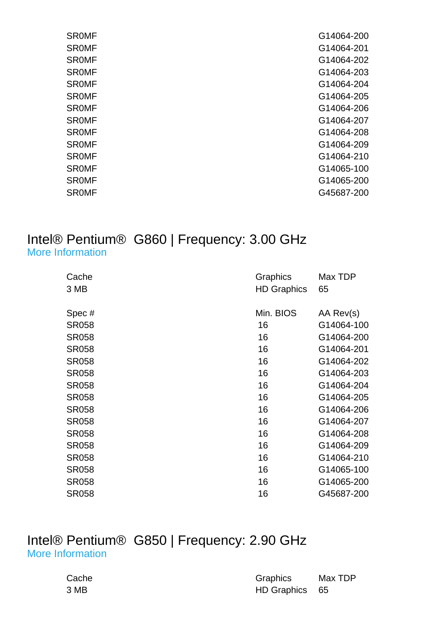| <b>SROMF</b> | G14064-200 |
|--------------|------------|
| <b>SROMF</b> | G14064-201 |
| <b>SROMF</b> | G14064-202 |
| <b>SROMF</b> | G14064-203 |
| <b>SROMF</b> | G14064-204 |
| <b>SROMF</b> | G14064-205 |
| <b>SROMF</b> | G14064-206 |
| <b>SROMF</b> | G14064-207 |
| <b>SROMF</b> | G14064-208 |
| <b>SROMF</b> | G14064-209 |
| <b>SROMF</b> | G14064-210 |
| <b>SROMF</b> | G14065-100 |
| <b>SROMF</b> | G14065-200 |
| <b>SROMF</b> | G45687-200 |
|              |            |

#### Intel® Pentium® G860 | Frequency: 3.00 GHz [More Information](http://ark.intel.com/Product.aspx?spec=SR058)

| Cache<br>3 MB | Graphics<br><b>HD Graphics</b> | Max TDP<br>65 |
|---------------|--------------------------------|---------------|
| Spec#         | Min. BIOS                      | AA Rev(s)     |
| <b>SR058</b>  | 16                             | G14064-100    |
| <b>SR058</b>  | 16                             | G14064-200    |
| <b>SR058</b>  | 16                             | G14064-201    |
| <b>SR058</b>  | 16                             | G14064-202    |
| <b>SR058</b>  | 16                             | G14064-203    |
| <b>SR058</b>  | 16                             | G14064-204    |
| <b>SR058</b>  | 16                             | G14064-205    |
| <b>SR058</b>  | 16                             | G14064-206    |
| <b>SR058</b>  | 16                             | G14064-207    |
| <b>SR058</b>  | 16                             | G14064-208    |
| <b>SR058</b>  | 16                             | G14064-209    |
| <b>SR058</b>  | 16                             | G14064-210    |
| <b>SR058</b>  | 16                             | G14065-100    |
| <b>SR058</b>  | 16                             | G14065-200    |
| <b>SR058</b>  | 16                             | G45687-200    |

#### Intel® Pentium® G850 | Frequency: 2.90 GHz [More Information](http://ark.intel.com/Product.aspx?spec=SR05Q)

| Cache | <b>Graphics</b> | Max TDP |
|-------|-----------------|---------|
| 3 MB  | HD Graphics 65  |         |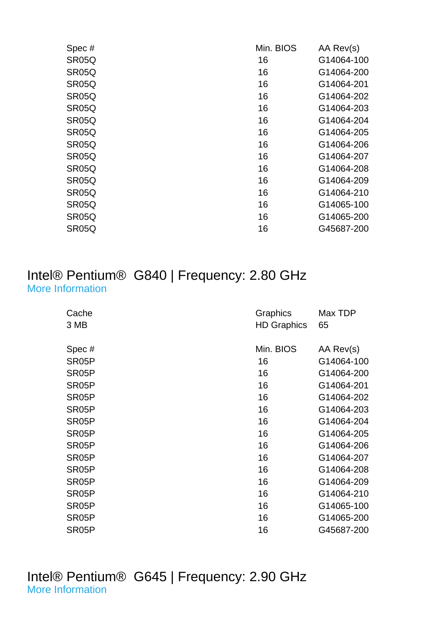| Spec#              | Min. BIOS | AA Rev(s)  |
|--------------------|-----------|------------|
| SR05Q              | 16        | G14064-100 |
| SR05Q              | 16        | G14064-200 |
| SR <sub>05</sub> Q | 16        | G14064-201 |
| SR <sub>05</sub> Q | 16        | G14064-202 |
| SR <sub>05</sub> Q | 16        | G14064-203 |
| SR <sub>05</sub> Q | 16        | G14064-204 |
| SR <sub>05</sub> Q | 16        | G14064-205 |
| SR <sub>05</sub> Q | 16        | G14064-206 |
| SR <sub>05</sub> Q | 16        | G14064-207 |
| SR <sub>05</sub> Q | 16        | G14064-208 |
| SR05Q              | 16        | G14064-209 |
| SR <sub>05</sub> Q | 16        | G14064-210 |
| SR05Q              | 16        | G14065-100 |
| SR <sub>05</sub> Q | 16        | G14065-200 |
| SR05Q              | 16        | G45687-200 |
|                    |           |            |

#### Intel® Pentium® G840 | Frequency: 2.80 GHz [More Information](http://ark.intel.com/Product.aspx?spec=SR05P)

| Cache<br>3 MB      | Graphics<br><b>HD Graphics</b> | Max TDP<br>65 |
|--------------------|--------------------------------|---------------|
| Spec#              | Min. BIOS                      | AA Rev(s)     |
| SR <sub>05</sub> P | 16                             | G14064-100    |
| SR <sub>05</sub> P | 16                             | G14064-200    |
| SR <sub>05</sub> P | 16                             | G14064-201    |
| SR <sub>05</sub> P | 16                             | G14064-202    |
| SR <sub>05</sub> P | 16                             | G14064-203    |
| SR <sub>05</sub> P | 16                             | G14064-204    |
| SR <sub>05</sub> P | 16                             | G14064-205    |
| SR <sub>05</sub> P | 16                             | G14064-206    |
| SR <sub>05</sub> P | 16                             | G14064-207    |
| SR <sub>05</sub> P | 16                             | G14064-208    |
| SR <sub>05</sub> P | 16                             | G14064-209    |
| SR <sub>05</sub> P | 16                             | G14064-210    |
| SR <sub>05</sub> P | 16                             | G14065-100    |
| SR <sub>05</sub> P | 16                             | G14065-200    |
| SR05P              | 16                             | G45687-200    |

Intel® Pentium® G645 | Frequency: 2.90 GHz [More Information](http://ark.intel.com/Product.aspx?spec=SR0RS)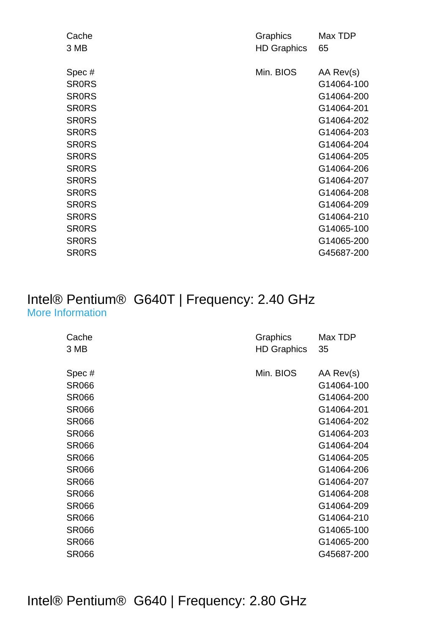| Cache        | Graphics           | Max TDP    |
|--------------|--------------------|------------|
| 3 MB         | <b>HD Graphics</b> | 65         |
|              |                    |            |
| Spec#        | Min. BIOS          | AA Rev(s)  |
| <b>SRORS</b> |                    | G14064-100 |
| <b>SRORS</b> |                    | G14064-200 |
| <b>SRORS</b> |                    | G14064-201 |
| <b>SRORS</b> |                    | G14064-202 |
| <b>SRORS</b> |                    | G14064-203 |
| <b>SRORS</b> |                    | G14064-204 |
| <b>SRORS</b> |                    | G14064-205 |
| <b>SRORS</b> |                    | G14064-206 |
| <b>SRORS</b> |                    | G14064-207 |
| <b>SRORS</b> |                    | G14064-208 |
| <b>SRORS</b> |                    | G14064-209 |
| <b>SRORS</b> |                    | G14064-210 |
| <b>SRORS</b> |                    | G14065-100 |
| <b>SRORS</b> |                    | G14065-200 |
| <b>SRORS</b> |                    | G45687-200 |
|              |                    |            |

#### Intel® Pentium® G640T | Frequency: 2.40 GHz [More Information](http://ark.intel.com/Product.aspx?spec=SR066)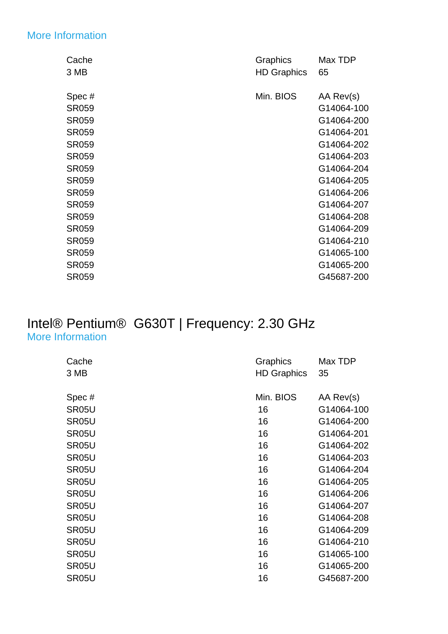#### [More Information](http://ark.intel.com/Product.aspx?spec=SR059)

| Cache        | Graphics           | Max TDP    |
|--------------|--------------------|------------|
| 3 MB         | <b>HD Graphics</b> | 65         |
|              |                    |            |
| Spec#        | Min. BIOS          | AA Rev(s)  |
| <b>SR059</b> |                    | G14064-100 |
| <b>SR059</b> |                    | G14064-200 |
| <b>SR059</b> |                    | G14064-201 |
| <b>SR059</b> |                    | G14064-202 |
| <b>SR059</b> |                    | G14064-203 |
| <b>SR059</b> |                    | G14064-204 |
| <b>SR059</b> |                    | G14064-205 |
| <b>SR059</b> |                    | G14064-206 |
| <b>SR059</b> |                    | G14064-207 |
| <b>SR059</b> |                    | G14064-208 |
| <b>SR059</b> |                    | G14064-209 |
| <b>SR059</b> |                    | G14064-210 |
| <b>SR059</b> |                    | G14065-100 |
| <b>SR059</b> |                    | G14065-200 |
| <b>SR059</b> |                    | G45687-200 |
|              |                    |            |

#### Intel® Pentium® G630T | Frequency: 2.30 GHz [More Information](http://ark.intel.com/Product.aspx?spec=SR05U)

| Cache              | Graphics           | Max TDP    |
|--------------------|--------------------|------------|
| 3 MB               | <b>HD Graphics</b> | 35         |
|                    |                    |            |
| Spec#              | Min. BIOS          | AA Rev(s)  |
| SR <sub>05</sub> U | 16                 | G14064-100 |
| SR <sub>05</sub> U | 16                 | G14064-200 |
| SR05U              | 16                 | G14064-201 |
| SR05U              | 16                 | G14064-202 |
| SR05U              | 16                 | G14064-203 |
| SR05U              | 16                 | G14064-204 |
| SR05U              | 16                 | G14064-205 |
| SR05U              | 16                 | G14064-206 |
| SR05U              | 16                 | G14064-207 |
| SR05U              | 16                 | G14064-208 |
| SR05U              | 16                 | G14064-209 |
| SR05U              | 16                 | G14064-210 |
| SR05U              | 16                 | G14065-100 |
| SR05U              | 16                 | G14065-200 |
| SR05U              | 16                 | G45687-200 |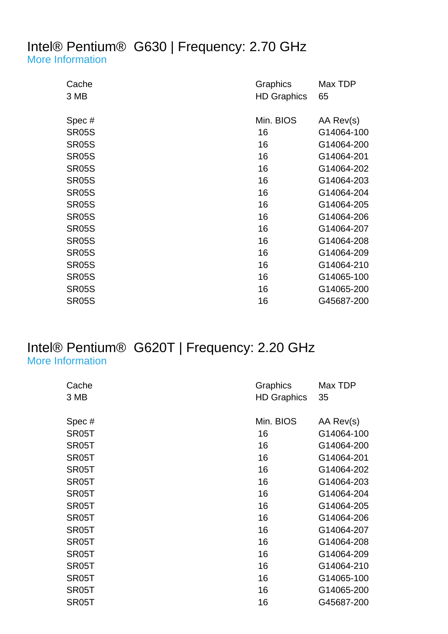#### Intel® Pentium® G630 | Frequency: 2.70 GHz [More Information](http://ark.intel.com/Product.aspx?spec=SR05S)

| Cache<br>3 MB | Graphics<br><b>HD Graphics</b> | Max TDP<br>65 |
|---------------|--------------------------------|---------------|
| Spec#         | Min. BIOS                      | AA Rev(s)     |
| <b>SR05S</b>  | 16                             | G14064-100    |
| <b>SR05S</b>  | 16                             | G14064-200    |
| <b>SR05S</b>  | 16                             | G14064-201    |
| <b>SR05S</b>  | 16                             | G14064-202    |
| <b>SR05S</b>  | 16                             | G14064-203    |
| <b>SR05S</b>  | 16                             | G14064-204    |
| <b>SR05S</b>  | 16                             | G14064-205    |
| <b>SR05S</b>  | 16                             | G14064-206    |
| <b>SR05S</b>  | 16                             | G14064-207    |
| <b>SR05S</b>  | 16                             | G14064-208    |
| <b>SR05S</b>  | 16                             | G14064-209    |
| <b>SR05S</b>  | 16                             | G14064-210    |
| <b>SR05S</b>  | 16                             | G14065-100    |
| <b>SR05S</b>  | 16                             | G14065-200    |
| <b>SR05S</b>  | 16                             | G45687-200    |

#### Intel® Pentium® G620T | Frequency: 2.20 GHz [More Information](http://ark.intel.com/Product.aspx?spec=SR05T)

| Cache<br>3 MB      | Graphics<br><b>HD Graphics</b> | Max TDP<br>35 |
|--------------------|--------------------------------|---------------|
| Spec#              | Min. BIOS                      | AA Rev(s)     |
| SR <sub>05</sub> T | 16                             | G14064-100    |
| SR <sub>05</sub> T | 16                             | G14064-200    |
| SR <sub>05</sub> T | 16                             | G14064-201    |
| SR <sub>05</sub> T | 16                             | G14064-202    |
| SR <sub>05</sub> T | 16                             | G14064-203    |
| SR <sub>05</sub> T | 16                             | G14064-204    |
| SR <sub>05</sub> T | 16                             | G14064-205    |
| SR <sub>05</sub> T | 16                             | G14064-206    |
| SR <sub>05</sub> T | 16                             | G14064-207    |
| SR <sub>05</sub> T | 16                             | G14064-208    |
| SR <sub>05</sub> T | 16                             | G14064-209    |
| SR <sub>05</sub> T | 16                             | G14064-210    |
| SR <sub>05</sub> T | 16                             | G14065-100    |
| SR <sub>05</sub> T | 16                             | G14065-200    |
| SR <sub>05</sub> T | 16                             | G45687-200    |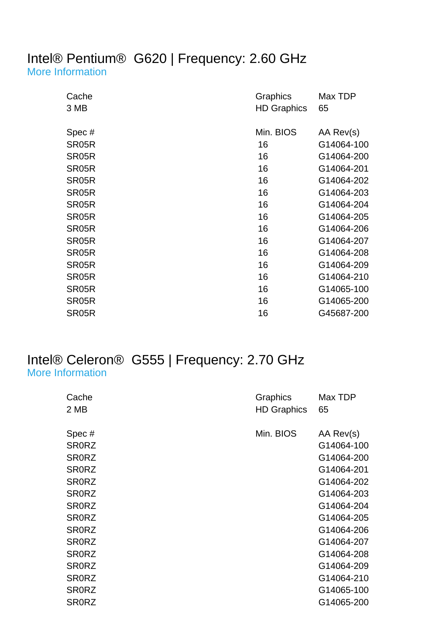# Intel® Pentium® G620 | Frequency: 2.60 GHz

[More Information](http://ark.intel.com/Product.aspx?spec=SR05R)

| Cache<br>3 MB      | Graphics<br><b>HD Graphics</b> | Max TDP<br>65 |
|--------------------|--------------------------------|---------------|
| Spec#              | Min. BIOS                      | AA Rev(s)     |
| SR05R              | 16                             | G14064-100    |
| SR05R              | 16                             | G14064-200    |
| SR05R              | 16                             | G14064-201    |
| SR05R              | 16                             | G14064-202    |
| SR05R              | 16                             | G14064-203    |
| SR05R              | 16                             | G14064-204    |
| SR05R              | 16                             | G14064-205    |
| SR05R              | 16                             | G14064-206    |
| SR05R              | 16                             | G14064-207    |
| SR05R              | 16                             | G14064-208    |
| SR <sub>05</sub> R | 16                             | G14064-209    |
| SR <sub>05</sub> R | 16                             | G14064-210    |
| SR05R              | 16                             | G14065-100    |
| SR <sub>05</sub> R | 16                             | G14065-200    |
| SR05R              | 16                             | G45687-200    |

#### Intel® Celeron® G555 | Frequency: 2.70 GHz [More Information](http://ark.intel.com/Product.aspx?spec=SR0RZ)

| Cache        | Graphics           | Max TDP    |
|--------------|--------------------|------------|
| 2 MB         | <b>HD Graphics</b> | 65         |
|              |                    |            |
| Spec#        | Min. BIOS          | AA Rev(s)  |
| <b>SR0RZ</b> |                    | G14064-100 |
| <b>SRORZ</b> |                    | G14064-200 |
| <b>SR0RZ</b> |                    | G14064-201 |
| <b>SR0RZ</b> |                    | G14064-202 |
| <b>SR0RZ</b> |                    | G14064-203 |
| <b>SRORZ</b> |                    | G14064-204 |
| <b>SR0RZ</b> |                    | G14064-205 |
| <b>SR0RZ</b> |                    | G14064-206 |
| <b>SR0RZ</b> |                    | G14064-207 |
| <b>SR0RZ</b> |                    | G14064-208 |
| <b>SR0RZ</b> |                    | G14064-209 |
| <b>SR0RZ</b> |                    | G14064-210 |
| <b>SR0RZ</b> |                    | G14065-100 |
| <b>SRORZ</b> |                    | G14065-200 |
|              |                    |            |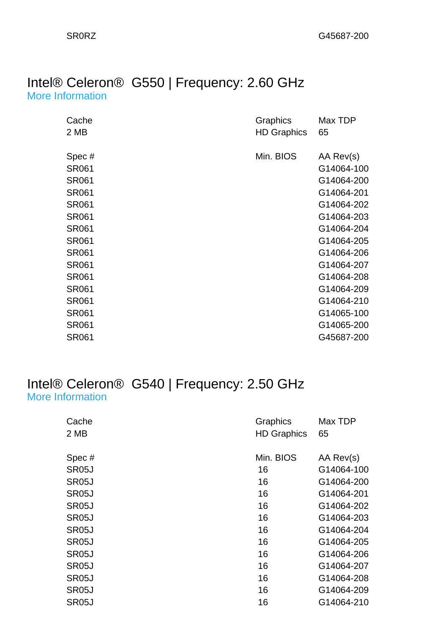#### Intel® Celeron® G550 | Frequency: 2.60 GHz [More Information](http://ark.intel.com/Product.aspx?spec=SR061)

| Cache        | Graphics           | Max TDP    |
|--------------|--------------------|------------|
| 2 MB         | <b>HD Graphics</b> | 65         |
|              |                    |            |
| Spec#        | Min. BIOS          | AA Rev(s)  |
| <b>SR061</b> |                    | G14064-100 |
| <b>SR061</b> |                    | G14064-200 |
| <b>SR061</b> |                    | G14064-201 |
| <b>SR061</b> |                    | G14064-202 |
| <b>SR061</b> |                    | G14064-203 |
| <b>SR061</b> |                    | G14064-204 |
| <b>SR061</b> |                    | G14064-205 |
| <b>SR061</b> |                    | G14064-206 |
| <b>SR061</b> |                    | G14064-207 |
| <b>SR061</b> |                    | G14064-208 |
| <b>SR061</b> |                    | G14064-209 |
| <b>SR061</b> |                    | G14064-210 |
| <b>SR061</b> |                    | G14065-100 |
| <b>SR061</b> |                    | G14065-200 |
| <b>SR061</b> |                    | G45687-200 |

#### Intel® Celeron® G540 | Frequency: 2.50 GHz [More Information](http://ark.intel.com/Product.aspx?spec=SR05J)

| Cache              | Graphics           | Max TDP    |
|--------------------|--------------------|------------|
| 2 MB               | <b>HD Graphics</b> | 65         |
|                    |                    |            |
| Spec#              | Min. BIOS          | AA Rev(s)  |
| SR <sub>05</sub> J | 16                 | G14064-100 |
| SR <sub>05</sub> J | 16                 | G14064-200 |
| SR <sub>05</sub> J | 16                 | G14064-201 |
| SR <sub>05</sub> J | 16                 | G14064-202 |
| SR <sub>05</sub> J | 16                 | G14064-203 |
| SR <sub>05</sub> J | 16                 | G14064-204 |
| SR <sub>05</sub> J | 16                 | G14064-205 |
| SR <sub>05</sub> J | 16                 | G14064-206 |
| SR <sub>05</sub> J | 16                 | G14064-207 |
| SR <sub>05</sub> J | 16                 | G14064-208 |
| SR <sub>05</sub> J | 16                 | G14064-209 |
| SR <sub>05</sub> J | 16                 | G14064-210 |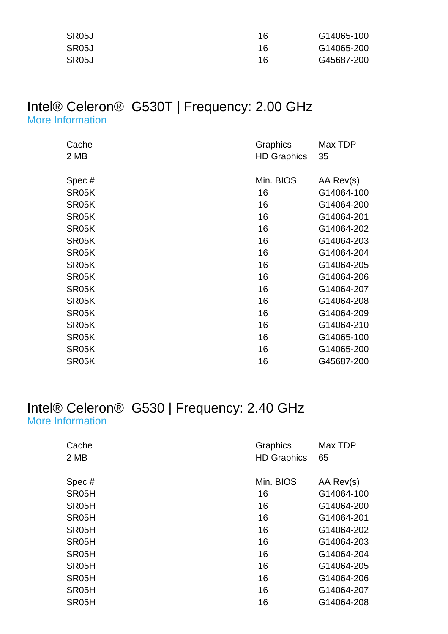| SR05J | 16 | G14065-100 |
|-------|----|------------|
| SR05J | 16 | G14065-200 |
| SR05J | 16 | G45687-200 |

#### Intel® Celeron® G530T | Frequency: 2.00 GHz [More Information](http://ark.intel.com/Product.aspx?spec=SR05K)

| Cache | Graphics           | Max TDP    |
|-------|--------------------|------------|
| 2 MB  | <b>HD Graphics</b> | 35         |
|       |                    |            |
| Spec# | Min. BIOS          | AA Rev(s)  |
| SR05K | 16                 | G14064-100 |
| SR05K | 16                 | G14064-200 |
| SR05K | 16                 | G14064-201 |
| SR05K | 16                 | G14064-202 |
| SR05K | 16                 | G14064-203 |
| SR05K | 16                 | G14064-204 |
| SR05K | 16                 | G14064-205 |
| SR05K | 16                 | G14064-206 |
| SR05K | 16                 | G14064-207 |
| SR05K | 16                 | G14064-208 |
| SR05K | 16                 | G14064-209 |
| SR05K | 16                 | G14064-210 |
| SR05K | 16                 | G14065-100 |
| SR05K | 16                 | G14065-200 |
| SR05K | 16                 | G45687-200 |

#### Intel® Celeron® G530 | Frequency: 2.40 GHz [More Information](http://ark.intel.com/Product.aspx?spec=SR05H)

| Cache<br>2 MB      | Graphics<br><b>HD Graphics</b> | Max TDP<br>65 |
|--------------------|--------------------------------|---------------|
| Spec#              | Min. BIOS                      | AA Rev(s)     |
| SR <sub>05</sub> H | 16                             | G14064-100    |
| SR05H              | 16                             | G14064-200    |
| SR <sub>05</sub> H | 16                             | G14064-201    |
| SR <sub>05</sub> H | 16                             | G14064-202    |
| SR05H              | 16                             | G14064-203    |
| SR05H              | 16                             | G14064-204    |
| SR <sub>05</sub> H | 16                             | G14064-205    |
| SR <sub>05</sub> H | 16                             | G14064-206    |
| SR05H              | 16                             | G14064-207    |
| SR05H              | 16                             | G14064-208    |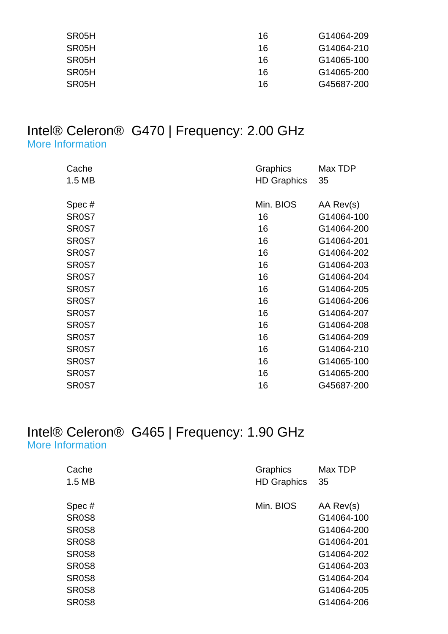| SR <sub>05</sub> H | 16 | G14064-209 |
|--------------------|----|------------|
| SR <sub>05</sub> H | 16 | G14064-210 |
| SR <sub>05</sub> H | 16 | G14065-100 |
| SR <sub>05</sub> H | 16 | G14065-200 |
| SR <sub>05</sub> H | 16 | G45687-200 |

#### Intel® Celeron® G470 | Frequency: 2.00 GHz [More Information](http://ark.intel.com/Product.aspx?spec=SR0S7)

| Cache<br>1.5 MB    | Graphics<br><b>HD Graphics</b> | Max TDP<br>35 |
|--------------------|--------------------------------|---------------|
| Spec#              | Min. BIOS                      | AA Rev(s)     |
| SR <sub>0</sub> S7 | 16                             | G14064-100    |
| SR <sub>0</sub> S7 | 16                             | G14064-200    |
| SR <sub>0</sub> S7 | 16                             | G14064-201    |
| SR <sub>0</sub> S7 | 16                             | G14064-202    |
| SR <sub>0</sub> S7 | 16                             | G14064-203    |
| SR <sub>0</sub> S7 | 16                             | G14064-204    |
| SR <sub>0</sub> S7 | 16                             | G14064-205    |
| SR <sub>0</sub> S7 | 16                             | G14064-206    |
| SR <sub>0</sub> S7 | 16                             | G14064-207    |
| SR <sub>0</sub> S7 | 16                             | G14064-208    |
| SR <sub>0</sub> S7 | 16                             | G14064-209    |
| SR <sub>0</sub> S7 | 16                             | G14064-210    |
| SR <sub>0</sub> S7 | 16                             | G14065-100    |
| SR <sub>0</sub> S7 | 16                             | G14065-200    |
| SR <sub>0</sub> S7 | 16                             | G45687-200    |

#### Intel® Celeron® G465 | Frequency: 1.90 GHz [More Information](http://ark.intel.com/Product.aspx?spec=SR0S8)

| Cache                          | Graphics           | Max TDP    |
|--------------------------------|--------------------|------------|
| 1.5 MB                         | <b>HD Graphics</b> | 35         |
|                                | Min. BIOS          |            |
| Spec#                          |                    | AA Rev(s)  |
| SR <sub>0</sub> S8             |                    | G14064-100 |
| SR <sub>0</sub> S <sub>8</sub> |                    | G14064-200 |
| SR <sub>0</sub> S <sub>8</sub> |                    | G14064-201 |
| SR <sub>0</sub> S <sub>8</sub> |                    | G14064-202 |
| SR <sub>0</sub> S <sub>8</sub> |                    | G14064-203 |
| SR <sub>0</sub> S <sub>8</sub> |                    | G14064-204 |
| SR <sub>0</sub> S <sub>8</sub> |                    | G14064-205 |
| SR <sub>0</sub> S8             |                    | G14064-206 |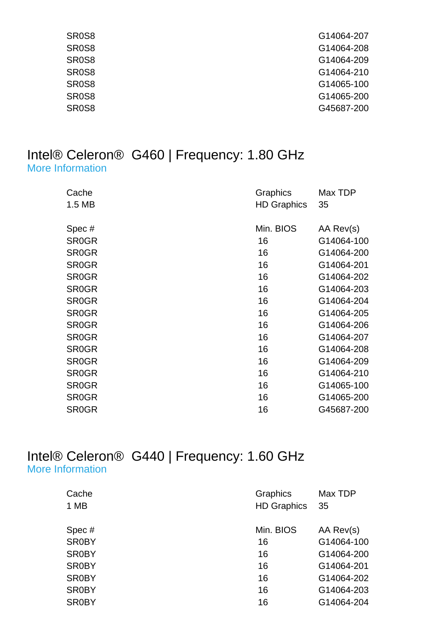| SR <sub>0</sub> S <sub>8</sub> | G14064-207 |
|--------------------------------|------------|
| SR <sub>0</sub> S <sub>8</sub> | G14064-208 |
| SR <sub>0</sub> S <sub>8</sub> | G14064-209 |
| SR <sub>0</sub> S <sub>8</sub> | G14064-210 |
| SR <sub>0</sub> S <sub>8</sub> | G14065-100 |
| SR <sub>0</sub> S <sub>8</sub> | G14065-200 |
| SR <sub>0</sub> S <sub>8</sub> | G45687-200 |
|                                |            |

#### Intel® Celeron® G460 | Frequency: 1.80 GHz [More Information](http://ark.intel.com/Product.aspx?spec=SR0GR)

| Cache<br>1.5 MB    | Graphics<br><b>HD Graphics</b> | Max TDP<br>35 |
|--------------------|--------------------------------|---------------|
| Spec#              | Min. BIOS                      | AA Rev(s)     |
| SR <sub>0</sub> GR | 16                             | G14064-100    |
| <b>SR0GR</b>       | 16                             | G14064-200    |
| <b>SR0GR</b>       | 16                             | G14064-201    |
| <b>SR0GR</b>       | 16                             | G14064-202    |
| <b>SR0GR</b>       | 16                             | G14064-203    |
| <b>SR0GR</b>       | 16                             | G14064-204    |
| <b>SR0GR</b>       | 16                             | G14064-205    |
| <b>SR0GR</b>       | 16                             | G14064-206    |
| <b>SR0GR</b>       | 16                             | G14064-207    |
| <b>SR0GR</b>       | 16                             | G14064-208    |
| <b>SR0GR</b>       | 16                             | G14064-209    |
| <b>SR0GR</b>       | 16                             | G14064-210    |
| <b>SR0GR</b>       | 16                             | G14065-100    |
| <b>SR0GR</b>       | 16                             | G14065-200    |
| SR <sub>0</sub> GR | 16                             | G45687-200    |

#### Intel® Celeron® G440 | Frequency: 1.60 GHz [More Information](http://ark.intel.com/Product.aspx?spec=SR0BY)

| Cache        | Graphics           | Max TDP    |
|--------------|--------------------|------------|
| 1 MB         | <b>HD Graphics</b> | 35         |
| Spec#        | Min. BIOS          | AA Rev(s)  |
| <b>SR0BY</b> | 16                 | G14064-100 |
| <b>SR0BY</b> | 16                 | G14064-200 |
| <b>SR0BY</b> | 16                 | G14064-201 |
| <b>SR0BY</b> | 16                 | G14064-202 |
| <b>SR0BY</b> | 16                 | G14064-203 |
| <b>SR0BY</b> | 16                 | G14064-204 |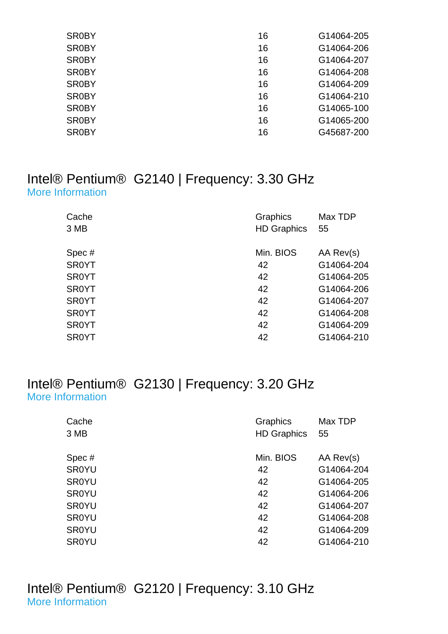| <b>SR0BY</b> | 16 | G14064-205 |
|--------------|----|------------|
| <b>SR0BY</b> | 16 | G14064-206 |
| <b>SR0BY</b> | 16 | G14064-207 |
| <b>SR0BY</b> | 16 | G14064-208 |
| <b>SR0BY</b> | 16 | G14064-209 |
| <b>SR0BY</b> | 16 | G14064-210 |
| <b>SR0BY</b> | 16 | G14065-100 |
| <b>SR0BY</b> | 16 | G14065-200 |
| <b>SR0BY</b> | 16 | G45687-200 |
|              |    |            |

#### Intel® Pentium® G2140 | Frequency: 3.30 GHz [More Information](http://ark.intel.com/Product.aspx?spec=SR0YT)

| Cache<br>3 MB | <b>Graphics</b><br><b>HD Graphics</b> | Max TDP<br>55 |
|---------------|---------------------------------------|---------------|
|               |                                       |               |
| Spec#         | Min. BIOS                             | AA Rev(s)     |
| <b>SR0YT</b>  | 42                                    | G14064-204    |
| <b>SR0YT</b>  | 42                                    | G14064-205    |
| <b>SR0YT</b>  | 42                                    | G14064-206    |
| <b>SR0YT</b>  | 42                                    | G14064-207    |
| <b>SR0YT</b>  | 42                                    | G14064-208    |
| <b>SR0YT</b>  | 42                                    | G14064-209    |
| <b>SR0YT</b>  | 42                                    | G14064-210    |

#### Intel® Pentium® G2130 | Frequency: 3.20 GHz [More Information](http://ark.intel.com/Product.aspx?spec=SR0YU)

| Cache        | Graphics           | Max TDP    |
|--------------|--------------------|------------|
| 3 MB         | <b>HD Graphics</b> | 55         |
|              |                    |            |
| Spec#        | Min. BIOS          | AA Rev(s)  |
| <b>SR0YU</b> | 42                 | G14064-204 |
| <b>SR0YU</b> | 42                 | G14064-205 |
| <b>SR0YU</b> | 42                 | G14064-206 |
| <b>SR0YU</b> | 42                 | G14064-207 |
| <b>SR0YU</b> | 42                 | G14064-208 |
| <b>SR0YU</b> | 42                 | G14064-209 |
| <b>SR0YU</b> | 42                 | G14064-210 |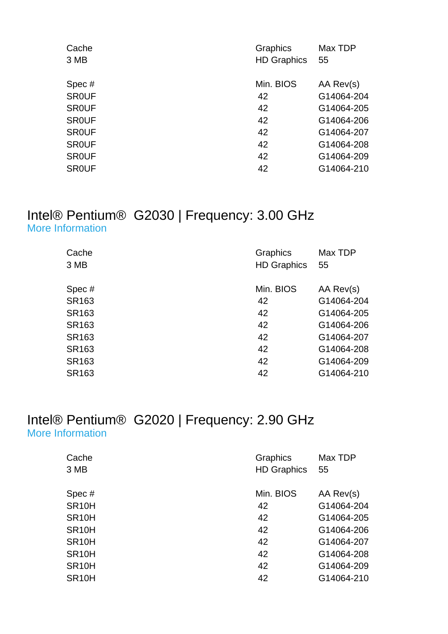| Cache        | Graphics           | Max TDP    |
|--------------|--------------------|------------|
| 3 MB         | <b>HD Graphics</b> | 55         |
| Spec#        | Min. BIOS          | AA Rev(s)  |
| <b>SROUF</b> | 42                 | G14064-204 |
| <b>SROUF</b> | 42                 | G14064-205 |
| <b>SROUF</b> | 42                 | G14064-206 |
| <b>SROUF</b> | 42                 | G14064-207 |
| <b>SROUF</b> | 42                 | G14064-208 |
| <b>SROUF</b> | 42                 | G14064-209 |
| <b>SROUF</b> | 42                 | G14064-210 |
|              |                    |            |

#### Intel® Pentium® G2030 | Frequency: 3.00 GHz [More Information](http://ark.intel.com/Product.aspx?spec=SR163)

| Cache             | Graphics           | Max TDP    |
|-------------------|--------------------|------------|
| 3 MB              | <b>HD Graphics</b> | 55         |
|                   |                    |            |
| Spec#             | Min. BIOS          | AA Rev(s)  |
| SR163             | 42                 | G14064-204 |
| SR163             | 42                 | G14064-205 |
| SR163             | 42                 | G14064-206 |
| SR163             | 42                 | G14064-207 |
| SR163             | 42                 | G14064-208 |
| SR163             | 42                 | G14064-209 |
| SR <sub>163</sub> | 42                 | G14064-210 |

#### Intel® Pentium® G2020 | Frequency: 2.90 GHz [More Information](http://ark.intel.com/Product.aspx?spec=SR10H)

| Cache              | <b>Graphics</b>    | Max TDP    |
|--------------------|--------------------|------------|
| 3 MB               | <b>HD Graphics</b> | 55         |
|                    |                    |            |
| Spec#              | Min. BIOS          | AA Rev(s)  |
| SR <sub>10</sub> H | 42                 | G14064-204 |
| SR <sub>10</sub> H | 42                 | G14064-205 |
| SR <sub>10</sub> H | 42                 | G14064-206 |
| SR <sub>10</sub> H | 42                 | G14064-207 |
| SR <sub>10</sub> H | 42                 | G14064-208 |
| SR <sub>10</sub> H | 42                 | G14064-209 |
| SR <sub>10</sub> H | 42                 | G14064-210 |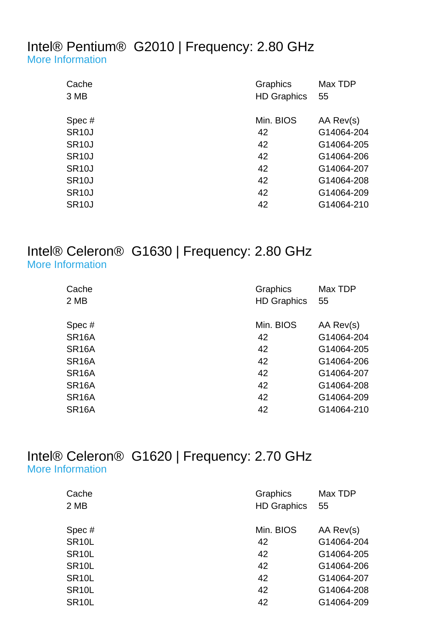#### Intel® Pentium® G2010 | Frequency: 2.80 GHz [More Information](http://ark.intel.com/Product.aspx?spec=SR10J)

| Cache              | Graphics           | Max TDP    |
|--------------------|--------------------|------------|
| 3 MB               | <b>HD Graphics</b> | 55         |
| Spec#              | Min. BIOS          | AA Rev(s)  |
| <b>SR10J</b>       | 42                 | G14064-204 |
| <b>SR10J</b>       | 42                 | G14064-205 |
| <b>SR10J</b>       | 42                 | G14064-206 |
| <b>SR10J</b>       | 42                 | G14064-207 |
| SR <sub>10</sub> J | 42                 | G14064-208 |
| <b>SR10J</b>       | 42                 | G14064-209 |
| <b>SR10J</b>       | 42                 | G14064-210 |
|                    |                    |            |

#### Intel® Celeron® G1630 | Frequency: 2.80 GHz [More Information](http://ark.intel.com/Product.aspx?spec=SR16A)

| Cache<br>2 MB      | Graphics<br><b>HD Graphics</b> | Max TDP<br>55 |
|--------------------|--------------------------------|---------------|
| Spec#              | Min. BIOS                      | AA Rev(s)     |
| SR <sub>16</sub> A | 42                             | G14064-204    |
| SR <sub>16</sub> A | 42                             | G14064-205    |
| SR <sub>16</sub> A | 42                             | G14064-206    |
| SR <sub>16</sub> A | 42                             | G14064-207    |
| SR <sub>16</sub> A | 42                             | G14064-208    |
| SR <sub>16</sub> A | 42                             | G14064-209    |
| SR <sub>16</sub> A | 42                             | G14064-210    |
|                    |                                |               |

#### Intel® Celeron® G1620 | Frequency: 2.70 GHz [More Information](http://ark.intel.com/Product.aspx?spec=SR10L)

| Cache              | Graphics           | Max TDP    |
|--------------------|--------------------|------------|
| 2 MB               | <b>HD Graphics</b> | 55         |
| Spec#              | Min. BIOS          | AA Rev(s)  |
| SR <sub>10</sub> L | 42                 | G14064-204 |
| SR <sub>10</sub> L | 42                 | G14064-205 |
| SR <sub>10</sub> L | 42                 | G14064-206 |
| SR <sub>10</sub> L | 42                 | G14064-207 |
| SR <sub>10</sub> L | 42                 | G14064-208 |
| SR <sub>10</sub> L | 42                 | G14064-209 |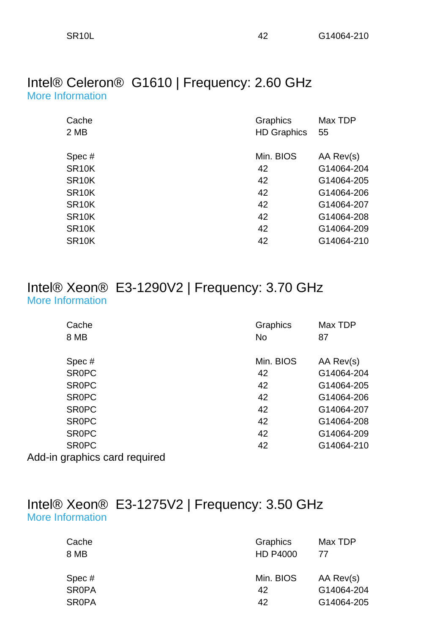#### Intel® Celeron® G1610 | Frequency: 2.60 GHz [More Information](http://ark.intel.com/Product.aspx?spec=SR10K)

| Cache              | Graphics           | Max TDP    |
|--------------------|--------------------|------------|
| 2 MB               | <b>HD Graphics</b> | 55         |
|                    |                    |            |
| Spec#              | Min. BIOS          | AA Rev(s)  |
| SR <sub>10</sub> K | 42                 | G14064-204 |
| SR <sub>10</sub> K | 42                 | G14064-205 |
| SR <sub>10</sub> K | 42                 | G14064-206 |
| SR <sub>10</sub> K | 42                 | G14064-207 |
| SR <sub>10</sub> K | 42                 | G14064-208 |
| SR <sub>10</sub> K | 42                 | G14064-209 |
| SR <sub>10</sub> K | 42                 | G14064-210 |

#### Intel® Xeon® E3-1290V2 | Frequency: 3.70 GHz [More Information](http://ark.intel.com/Product.aspx?spec=SR0PC)

| Cache                         | Graphics  | Max TDP    |
|-------------------------------|-----------|------------|
| 8 MB                          | <b>No</b> | 87         |
|                               |           |            |
| Spec#                         | Min. BIOS | AA Rev(s)  |
| <b>SROPC</b>                  | 42        | G14064-204 |
| <b>SROPC</b>                  | 42        | G14064-205 |
| <b>SROPC</b>                  | 42        | G14064-206 |
| <b>SROPC</b>                  | 42        | G14064-207 |
| <b>SROPC</b>                  | 42        | G14064-208 |
| <b>SROPC</b>                  | 42        | G14064-209 |
| <b>SROPC</b>                  | 42        | G14064-210 |
| Add-in graphics card required |           |            |

#### Intel® Xeon® E3-1275V2 | Frequency: 3.50 GHz [More Information](http://ark.intel.com/Product.aspx?spec=SR0PA)

| Cache<br>8 MB | Graphics<br><b>HD P4000</b> | Max TDP<br>77 |
|---------------|-----------------------------|---------------|
| Spec#         | Min. BIOS                   | AA Rev(s)     |
| <b>SROPA</b>  | 42                          | G14064-204    |
| <b>SROPA</b>  | 42                          | G14064-205    |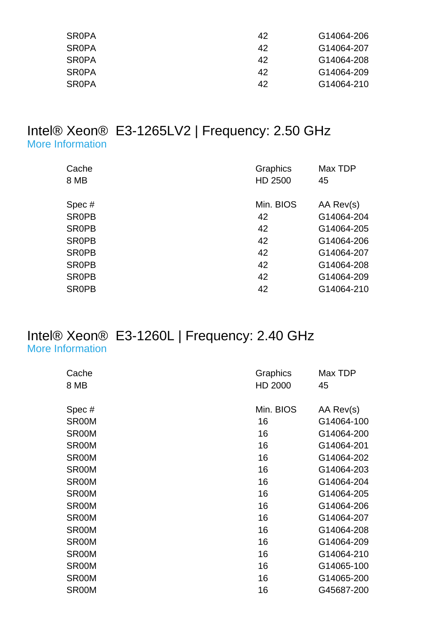| <b>SROPA</b> | 42 | G14064-206 |
|--------------|----|------------|
| <b>SROPA</b> | 42 | G14064-207 |
| <b>SROPA</b> | 42 | G14064-208 |
| <b>SROPA</b> | 42 | G14064-209 |
| <b>SROPA</b> | 42 | G14064-210 |

#### Intel® Xeon® E3-1265LV2 | Frequency: 2.50 GHz [More Information](http://ark.intel.com/Product.aspx?spec=SR0PB)

| Cache        | Graphics  | Max TDP    |
|--------------|-----------|------------|
| 8 MB         | HD 2500   | 45         |
|              |           |            |
| Spec#        | Min. BIOS | AA Rev(s)  |
| <b>SROPB</b> | 42        | G14064-204 |
| <b>SROPB</b> | 42        | G14064-205 |
| <b>SROPB</b> | 42        | G14064-206 |
| <b>SROPB</b> | 42        | G14064-207 |
| <b>SROPB</b> | 42        | G14064-208 |
| <b>SROPB</b> | 42        | G14064-209 |
| <b>SROPB</b> | 42        | G14064-210 |

#### Intel® Xeon® E3-1260L | Frequency: 2.40 GHz [More Information](http://ark.intel.com/Product.aspx?spec=SR00M)

| Cache | Graphics  | Max TDP    |
|-------|-----------|------------|
| 8 MB  | HD 2000   | 45         |
| Spec# | Min. BIOS | AA Rev(s)  |
| SR00M | 16        | G14064-100 |
| SR00M | 16        | G14064-200 |
| SR00M | 16        | G14064-201 |
| SR00M | 16        | G14064-202 |
| SR00M | 16        | G14064-203 |
| SR00M | 16        | G14064-204 |
| SR00M | 16        | G14064-205 |
| SR00M | 16        | G14064-206 |
| SR00M | 16        | G14064-207 |
| SR00M | 16        | G14064-208 |
| SR00M | 16        | G14064-209 |
| SR00M | 16        | G14064-210 |
| SR00M | 16        | G14065-100 |
| SR00M | 16        | G14065-200 |
| SR00M | 16        | G45687-200 |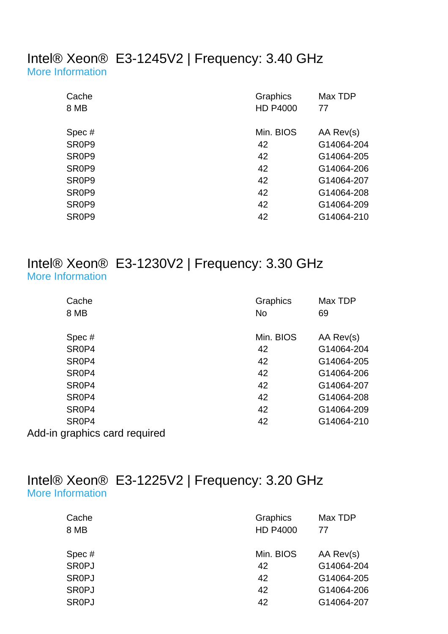#### Intel® Xeon® E3-1245V2 | Frequency: 3.40 GHz [More Information](http://ark.intel.com/Product.aspx?spec=SR0P9)

| Cache                          | Graphics        | Max TDP    |
|--------------------------------|-----------------|------------|
| 8 MB                           | <b>HD P4000</b> | 77         |
| Spec#                          | Min. BIOS       | AA Rev(s)  |
| SR <sub>0</sub> P <sub>9</sub> | 42              | G14064-204 |
| SR0P9                          | 42              | G14064-205 |
| SR <sub>0</sub> P <sub>9</sub> | 42              | G14064-206 |
| SR <sub>0</sub> P <sub>9</sub> | 42              | G14064-207 |
| SR0P9                          | 42              | G14064-208 |
| SR0P9                          | 42              | G14064-209 |
| SR <sub>0</sub> P <sub>9</sub> | 42              | G14064-210 |

#### Intel® Xeon® E3-1230V2 | Frequency: 3.30 GHz [More Information](http://ark.intel.com/Product.aspx?spec=SR0P4)

| Cache                         | Graphics  | Max TDP    |
|-------------------------------|-----------|------------|
| 8 MB                          | <b>No</b> | 69         |
|                               |           |            |
| Spec#                         | Min. BIOS | AA Rev(s)  |
| SR0P4                         | 42        | G14064-204 |
| SR0P4                         | 42        | G14064-205 |
| SR0P4                         | 42        | G14064-206 |
| SR0P4                         | 42        | G14064-207 |
| SR <sub>0</sub> P4            | 42        | G14064-208 |
| SR <sub>0</sub> P4            | 42        | G14064-209 |
| SR <sub>0</sub> P4            | 42        | G14064-210 |
| Add-in graphics card required |           |            |

#### Intel® Xeon® E3-1225V2 | Frequency: 3.20 GHz [More Information](http://ark.intel.com/Product.aspx?spec=SR0PJ)

| Cache        | Graphics        | Max TDP    |
|--------------|-----------------|------------|
| 8 MB         | <b>HD P4000</b> | 77         |
|              |                 |            |
| Spec#        | Min. BIOS       | AA Rev(s)  |
| <b>SROPJ</b> | 42              | G14064-204 |
| <b>SROPJ</b> | 42              | G14064-205 |
| <b>SROPJ</b> | 42              | G14064-206 |
| <b>SROPJ</b> | 42              | G14064-207 |